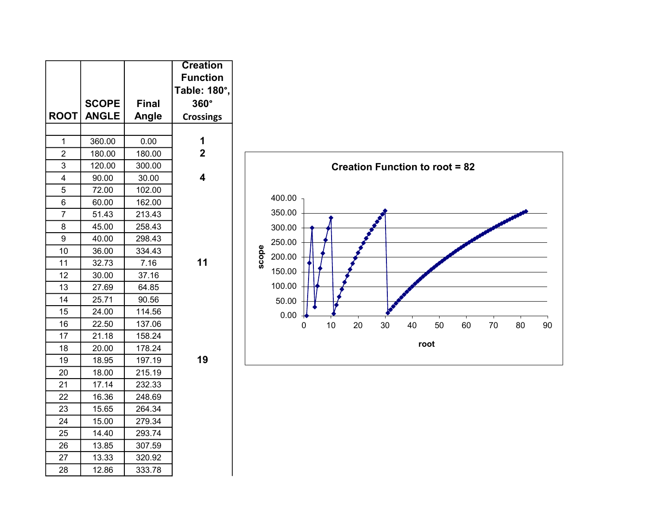|                         |              |              | <b>Creation</b>         |
|-------------------------|--------------|--------------|-------------------------|
|                         |              |              | <b>Function</b>         |
|                         |              |              | Table: 180°,            |
|                         | <b>SCOPE</b> | <b>Final</b> | $360^\circ$             |
| <b>ROOT</b>             | <b>ANGLE</b> | Angle        | <b>Crossings</b>        |
|                         |              |              |                         |
| 1                       | 360.00       | 0.00         | 1                       |
| $\overline{2}$          | 180.00       | 180.00       | $\overline{2}$          |
| 3                       | 120.00       | 300.00       |                         |
| $\overline{\mathbf{4}}$ | 90.00        | 30.00        | $\overline{\mathbf{A}}$ |
| 5                       | 72.00        | 102.00       |                         |
| 6                       | 60.00        | 162.00       |                         |
| $\overline{7}$          | 51.43        | 213.43       |                         |
| 8                       | 45.00        | 258.43       |                         |
| 9                       | 40.00        | 298.43       |                         |
| 10                      | 36.00        | 334.43       |                         |
| 11                      | 32.73        | 7.16         | 11                      |
| 12                      | 30.00        | 37.16        |                         |
| 13                      | 27.69        | 64.85        |                         |
| 14                      | 25.71        | 90.56        |                         |
| 15                      | 24.00        | 114.56       |                         |
| 16                      | 22.50        | 137.06       |                         |
| 17                      | 21.18        | 158.24       |                         |
| 18                      | 20.00        | 178.24       |                         |
| 19                      | 18.95        | 197.19       | 19                      |
| 20                      | 18.00        | 215.19       |                         |
| 21                      | 17.14        | 232.33       |                         |
| 22                      | 16.36        | 248.69       |                         |
| 23                      | 15.65        | 264.34       |                         |
| 24                      | 15.00        | 279.34       |                         |
| 25                      | 14.40        | 293.74       |                         |
| 26                      | 13.85        | 307.59       |                         |
| 27                      | 13.33        | 320.92       |                         |
| 28                      | 12.86        | 333.78       |                         |

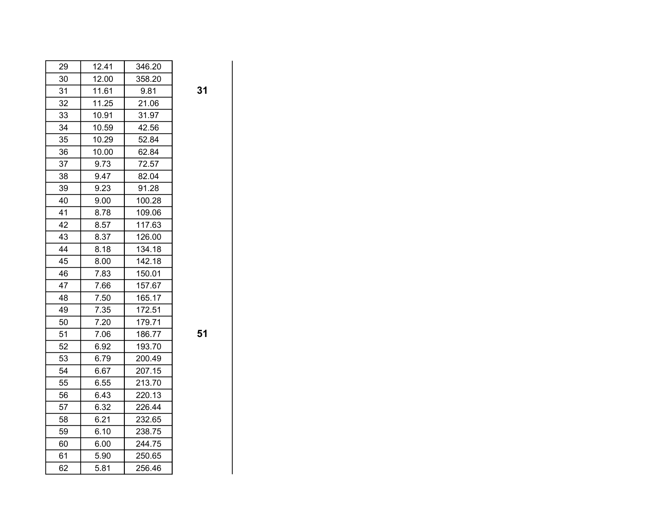| 29 | 12.41 | 346.20 |
|----|-------|--------|
| 30 | 12.00 | 358.20 |
| 31 | 11.61 | 9.81   |
| 32 | 11.25 | 21.06  |
| 33 | 10.91 | 31.97  |
| 34 | 10.59 | 42.56  |
| 35 | 10.29 | 52.84  |
| 36 | 10.00 | 62.84  |
| 37 | 9.73  | 72.57  |
| 38 | 9.47  | 82.04  |
| 39 | 9.23  | 91.28  |
| 40 | 9.00  | 100.28 |
| 41 | 8.78  | 109.06 |
| 42 | 8.57  | 117.63 |
| 43 | 8.37  | 126.00 |
| 44 | 8.18  | 134.18 |
| 45 | 8.00  | 142.18 |
| 46 | 7.83  | 150.01 |
| 47 | 7.66  | 157.67 |
| 48 | 7.50  | 165.17 |
| 49 | 7.35  | 172.51 |
| 50 | 7.20  | 179.71 |
| 51 | 7.06  | 186.77 |
| 52 | 6.92  | 193.70 |
| 53 | 6.79  | 200.49 |
| 54 | 6.67  | 207.15 |
| 55 | 6.55  | 213.70 |
| 56 | 6.43  | 220.13 |
| 57 | 6.32  | 226.44 |
| 58 | 6.21  | 232.65 |
| 59 | 6.10  | 238.75 |
| 60 | 6.00  | 244.75 |
| 61 | 5.90  | 250.65 |
| 62 | 5.81  | 256.46 |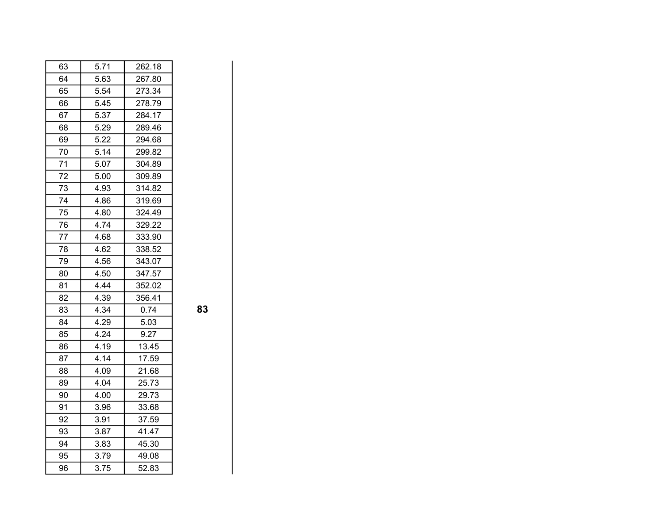| 63 | 5.71 | 262.18 |
|----|------|--------|
| 64 | 5.63 | 267.80 |
| 65 | 5.54 | 273.34 |
| 66 | 5.45 | 278.79 |
| 67 | 5.37 | 284.17 |
| 68 | 5.29 | 289.46 |
| 69 | 5.22 | 294.68 |
| 70 | 5.14 | 299.82 |
| 71 | 5.07 | 304.89 |
| 72 | 5.00 | 309.89 |
| 73 | 4.93 | 314.82 |
| 74 | 4.86 | 319.69 |
| 75 | 4.80 | 324.49 |
| 76 | 4.74 | 329.22 |
| 77 | 4.68 | 333.90 |
| 78 | 4.62 | 338.52 |
| 79 | 4.56 | 343.07 |
| 80 | 4.50 | 347.57 |
| 81 | 4.44 | 352.02 |
| 82 | 4.39 | 356.41 |
| 83 | 4.34 | 0.74   |
| 84 | 4.29 | 5.03   |
| 85 | 4.24 | 9.27   |
| 86 | 4.19 | 13.45  |
| 87 | 4.14 | 17.59  |
| 88 | 4.09 | 21.68  |
| 89 | 4.04 | 25.73  |
| 90 | 4.00 | 29.73  |
| 91 | 3.96 | 33.68  |
| 92 | 3.91 | 37.59  |
| 93 | 3.87 | 41.47  |
| 94 | 3.83 | 45.30  |
| 95 | 3.79 | 49.08  |
| 96 | 3.75 | 52.83  |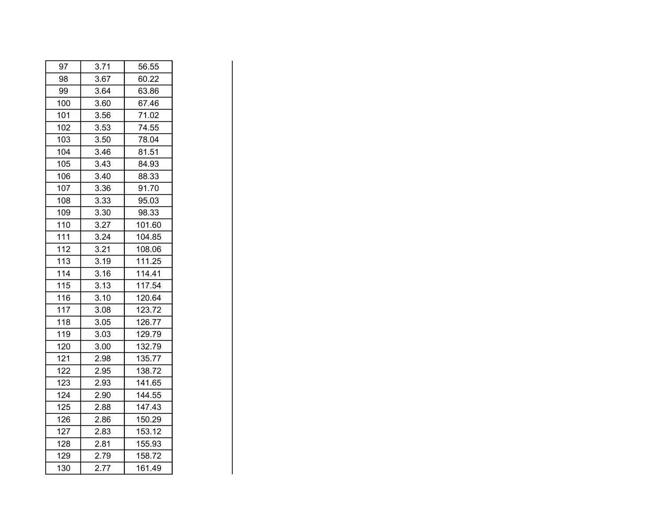| 97  | 3.71 | 56.55  |
|-----|------|--------|
| 98  | 3.67 | 60.22  |
| 99  | 3.64 | 63.86  |
| 100 | 3.60 | 67.46  |
| 101 | 3.56 | 71.02  |
| 102 | 3.53 | 74.55  |
| 103 | 3.50 | 78.04  |
| 104 | 3.46 | 81.51  |
| 105 | 3.43 | 84.93  |
| 106 | 3.40 | 88.33  |
| 107 | 3.36 | 91.70  |
| 108 | 3.33 | 95.03  |
| 109 | 3.30 | 98.33  |
| 110 | 3.27 | 101.60 |
| 111 | 3.24 | 104.85 |
| 112 | 3.21 | 108.06 |
| 113 | 3.19 | 111.25 |
| 114 | 3.16 | 114.41 |
| 115 | 3.13 | 117.54 |
| 116 | 3.10 | 120.64 |
| 117 | 3.08 | 123.72 |
| 118 | 3.05 | 126.77 |
| 119 | 3.03 | 129.79 |
| 120 | 3.00 | 132.79 |
| 121 | 2.98 | 135.77 |
| 122 | 2.95 | 138.72 |
| 123 | 2.93 | 141.65 |
| 124 | 2.90 | 144.55 |
| 125 | 2.88 | 147.43 |
| 126 | 2.86 | 150.29 |
| 127 | 2.83 | 153.12 |
| 128 | 2.81 | 155.93 |
| 129 | 2.79 | 158.72 |
| 130 | 2.77 | 161.49 |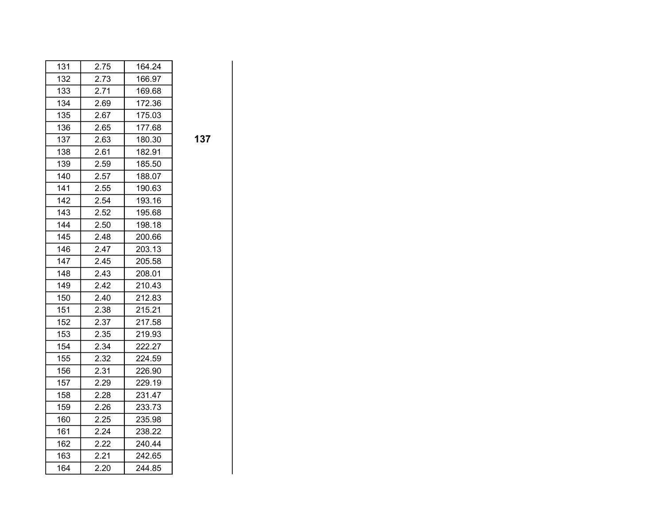| 131 | 2.75 | 164.24 |
|-----|------|--------|
| 132 | 2.73 | 166.97 |
| 133 | 2.71 | 169.68 |
| 134 | 2.69 | 172.36 |
| 135 | 2.67 | 175.03 |
| 136 | 2.65 | 177.68 |
| 137 | 2.63 | 180.30 |
| 138 | 2.61 | 182.91 |
| 139 | 2.59 | 185.50 |
| 140 | 2.57 | 188.07 |
| 141 | 2.55 | 190.63 |
| 142 | 2.54 | 193.16 |
| 143 | 2.52 | 195.68 |
| 144 | 2.50 | 198.18 |
| 145 | 2.48 | 200.66 |
| 146 | 2.47 | 203.13 |
| 147 | 2.45 | 205.58 |
| 148 | 2.43 | 208.01 |
| 149 | 2.42 | 210.43 |
| 150 | 2.40 | 212.83 |
| 151 | 2.38 | 215.21 |
| 152 | 2.37 | 217.58 |
| 153 | 2.35 | 219.93 |
| 154 | 2.34 | 222.27 |
| 155 | 2.32 | 224.59 |
| 156 | 2.31 | 226.90 |
| 157 | 2.29 | 229.19 |
| 158 | 2.28 | 231.47 |
| 159 | 2.26 | 233.73 |
| 160 | 2.25 | 235.98 |
| 161 | 2.24 | 238.22 |
| 162 | 2.22 | 240.44 |
| 163 | 2.21 | 242.65 |
| 164 | 2.20 | 244.85 |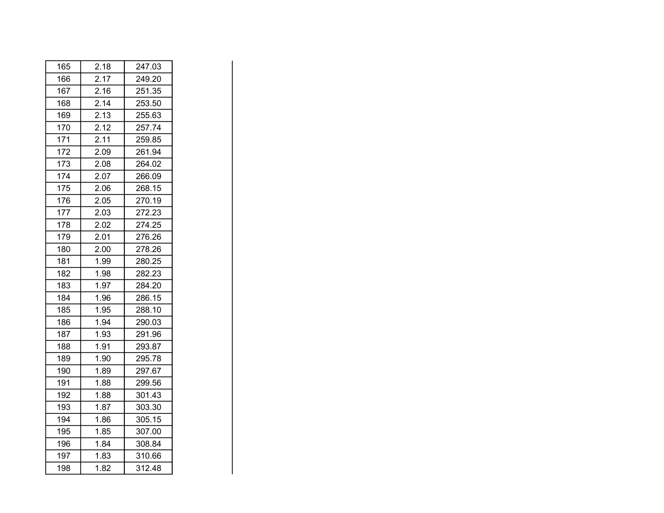| 165 | 2.18 | 247.03 |
|-----|------|--------|
| 166 | 2.17 | 249.20 |
| 167 | 2.16 | 251.35 |
| 168 | 2.14 | 253.50 |
| 169 | 2.13 | 255.63 |
| 170 | 2.12 | 257.74 |
| 171 | 2.11 | 259.85 |
| 172 | 2.09 | 261.94 |
| 173 | 2.08 | 264.02 |
| 174 | 2.07 | 266.09 |
| 175 | 2.06 | 268.15 |
| 176 | 2.05 | 270.19 |
| 177 | 2.03 | 272.23 |
| 178 | 2.02 | 274.25 |
| 179 | 2.01 | 276.26 |
| 180 | 2.00 | 278.26 |
| 181 | 1.99 | 280.25 |
| 182 | 1.98 | 282.23 |
| 183 | 1.97 | 284.20 |
| 184 | 1.96 | 286.15 |
| 185 | 1.95 | 288.10 |
| 186 | 1.94 | 290.03 |
| 187 | 1.93 | 291.96 |
| 188 | 1.91 | 293.87 |
| 189 | 1.90 | 295.78 |
| 190 | 1.89 | 297.67 |
| 191 | 1.88 | 299.56 |
| 192 | 1.88 | 301.43 |
| 193 | 1.87 | 303.30 |
| 194 | 1.86 | 305.15 |
| 195 | 1.85 | 307.00 |
| 196 | 1.84 | 308.84 |
| 197 | 1.83 | 310.66 |
| 198 | 1.82 | 312.48 |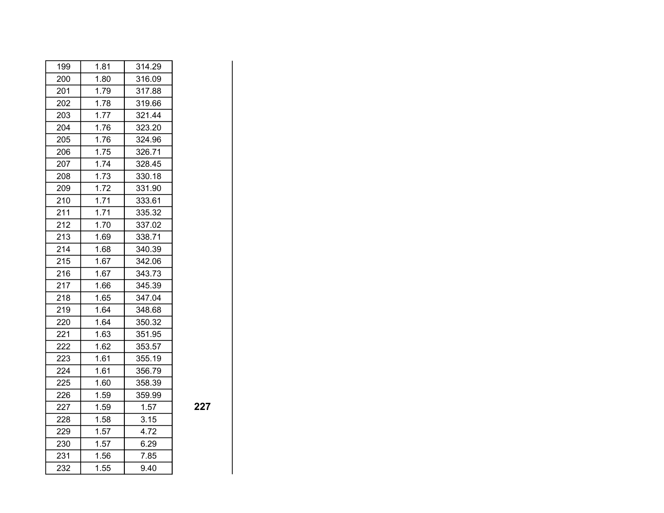| 199 | 1.81 | 314.29 |
|-----|------|--------|
| 200 | 1.80 | 316.09 |
| 201 | 1.79 | 317.88 |
| 202 | 1.78 | 319.66 |
| 203 | 1.77 | 321.44 |
| 204 | 1.76 | 323.20 |
| 205 | 1.76 | 324.96 |
| 206 | 1.75 | 326.71 |
| 207 | 1.74 | 328.45 |
| 208 | 1.73 | 330.18 |
| 209 | 1.72 | 331.90 |
| 210 | 1.71 | 333.61 |
| 211 | 1.71 | 335.32 |
| 212 | 1.70 | 337.02 |
| 213 | 1.69 | 338.71 |
| 214 | 1.68 | 340.39 |
| 215 | 1.67 | 342.06 |
| 216 | 1.67 | 343.73 |
| 217 | 1.66 | 345.39 |
| 218 | 1.65 | 347.04 |
| 219 | 1.64 | 348.68 |
| 220 | 1.64 | 350.32 |
| 221 | 1.63 | 351.95 |
| 222 | 1.62 | 353.57 |
| 223 | 1.61 | 355.19 |
| 224 | 1.61 | 356.79 |
| 225 | 1.60 | 358.39 |
| 226 | 1.59 | 359.99 |
| 227 | 1.59 | 1.57   |
| 228 | 1.58 | 3.15   |
| 229 | 1.57 | 4.72   |
| 230 | 1.57 | 6.29   |
| 231 | 1.56 | 7.85   |
| 232 | 1.55 | 9.40   |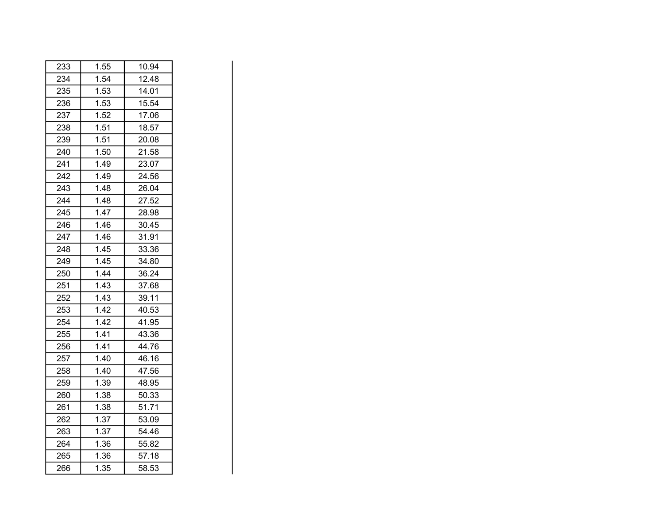| 233 | 1.55 | 10.94 |
|-----|------|-------|
| 234 | 1.54 | 12.48 |
| 235 | 1.53 | 14.01 |
| 236 | 1.53 | 15.54 |
| 237 | 1.52 | 17.06 |
| 238 | 1.51 | 18.57 |
| 239 | 1.51 | 20.08 |
| 240 | 1.50 | 21.58 |
| 241 | 1.49 | 23.07 |
| 242 | 1.49 | 24.56 |
| 243 | 1.48 | 26.04 |
| 244 | 1.48 | 27.52 |
| 245 | 1.47 | 28.98 |
| 246 | 1.46 | 30.45 |
| 247 | 1.46 | 31.91 |
| 248 | 1.45 | 33.36 |
| 249 | 1.45 | 34.80 |
| 250 | 1.44 | 36.24 |
| 251 | 1.43 | 37.68 |
| 252 | 1.43 | 39.11 |
| 253 | 1.42 | 40.53 |
| 254 | 1.42 | 41.95 |
| 255 | 1.41 | 43.36 |
| 256 | 1.41 | 44.76 |
| 257 | 1.40 | 46.16 |
| 258 | 1.40 | 47.56 |
| 259 | 1.39 | 48.95 |
| 260 | 1.38 | 50.33 |
| 261 | 1.38 | 51.71 |
| 262 | 1.37 | 53.09 |
| 263 | 1.37 | 54.46 |
| 264 | 1.36 | 55.82 |
| 265 | 1.36 | 57.18 |
| 266 | 1.35 | 58.53 |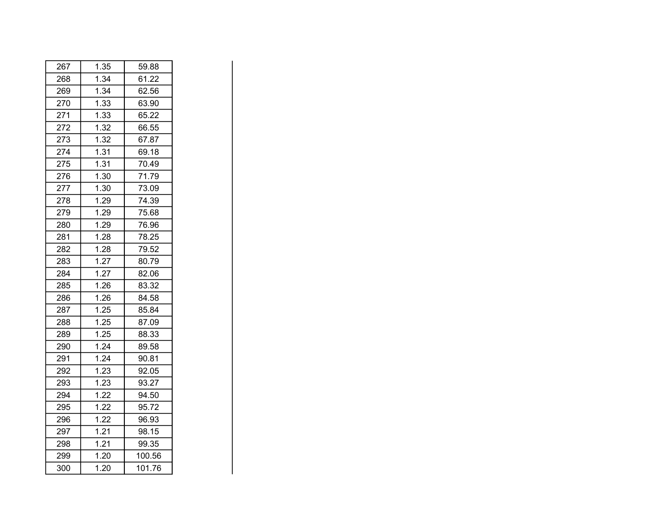| 267 | 1.35 | 59.88  |
|-----|------|--------|
| 268 | 1.34 | 61.22  |
| 269 | 1.34 | 62.56  |
| 270 | 1.33 | 63.90  |
| 271 | 1.33 | 65.22  |
| 272 | 1.32 | 66.55  |
| 273 | 1.32 | 67.87  |
| 274 | 1.31 | 69.18  |
| 275 | 1.31 | 70.49  |
| 276 | 1.30 | 71.79  |
| 277 | 1.30 | 73.09  |
| 278 | 1.29 | 74.39  |
| 279 | 1.29 | 75.68  |
| 280 | 1.29 | 76.96  |
| 281 | 1.28 | 78.25  |
| 282 | 1.28 | 79.52  |
| 283 | 1.27 | 80.79  |
| 284 | 1.27 | 82.06  |
| 285 | 1.26 | 83.32  |
| 286 | 1.26 | 84.58  |
| 287 | 1.25 | 85.84  |
| 288 | 1.25 | 87.09  |
| 289 | 1.25 | 88.33  |
| 290 | 1.24 | 89.58  |
| 291 | 1.24 | 90.81  |
| 292 | 1.23 | 92.05  |
| 293 | 1.23 | 93.27  |
| 294 | 1.22 | 94.50  |
| 295 | 1.22 | 95.72  |
| 296 | 1.22 | 96.93  |
| 297 | 1.21 | 98.15  |
| 298 | 1.21 | 99.35  |
| 299 | 1.20 | 100.56 |
| 300 | 1.20 | 101.76 |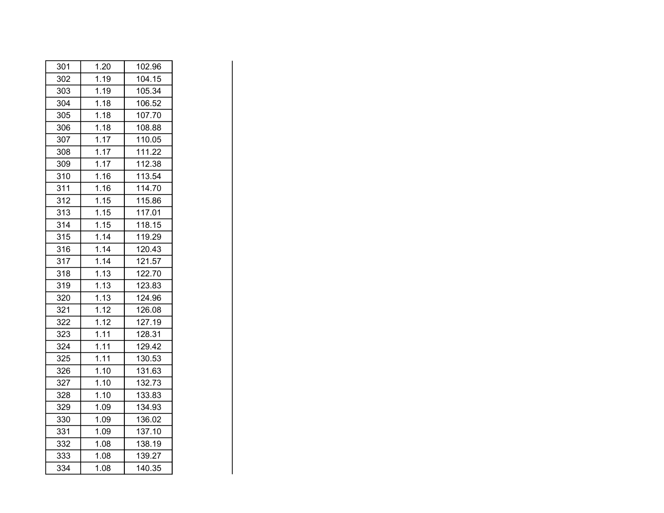| 301 | 1.20 | 102.96 |
|-----|------|--------|
| 302 | 1.19 | 104.15 |
| 303 | 1.19 | 105.34 |
| 304 | 1.18 | 106.52 |
| 305 | 1.18 | 107.70 |
| 306 | 1.18 | 108.88 |
| 307 | 1.17 | 110.05 |
| 308 | 1.17 | 111.22 |
| 309 | 1.17 | 112.38 |
| 310 | 1.16 | 113.54 |
| 311 | 1.16 | 114.70 |
| 312 | 1.15 | 115.86 |
| 313 | 1.15 | 117.01 |
| 314 | 1.15 | 118.15 |
| 315 | 1.14 | 119.29 |
| 316 | 1.14 | 120.43 |
| 317 | 1.14 | 121.57 |
| 318 | 1.13 | 122.70 |
| 319 | 1.13 | 123.83 |
| 320 | 1.13 | 124.96 |
| 321 | 1.12 | 126.08 |
| 322 | 1.12 | 127.19 |
| 323 | 1.11 | 128.31 |
| 324 | 1.11 | 129.42 |
| 325 | 1.11 | 130.53 |
| 326 | 1.10 | 131.63 |
| 327 | 1.10 | 132.73 |
| 328 | 1.10 | 133.83 |
| 329 | 1.09 | 134.93 |
| 330 | 1.09 | 136.02 |
| 331 | 1.09 | 137.10 |
| 332 | 1.08 | 138.19 |
| 333 | 1.08 | 139.27 |
| 334 | 1.08 | 140.35 |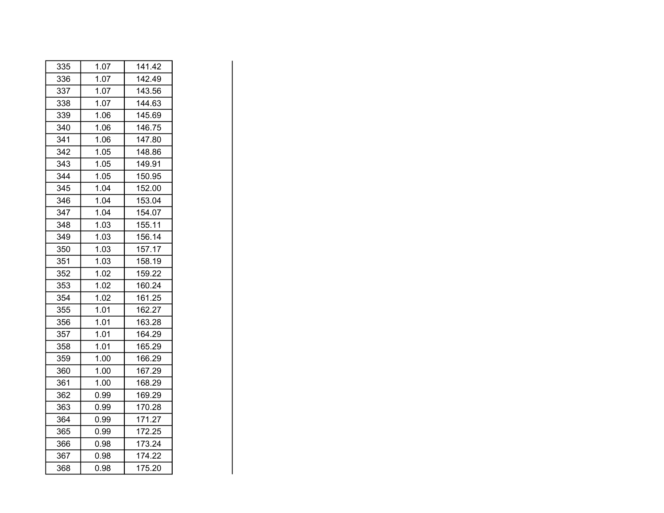| 335 | 1.07 | 141.42 |
|-----|------|--------|
| 336 | 1.07 | 142.49 |
| 337 | 1.07 | 143.56 |
| 338 | 1.07 | 144.63 |
| 339 | 1.06 | 145.69 |
| 340 | 1.06 | 146.75 |
| 341 | 1.06 | 147.80 |
| 342 | 1.05 | 148.86 |
| 343 | 1.05 | 149.91 |
| 344 | 1.05 | 150.95 |
| 345 | 1.04 | 152.00 |
| 346 | 1.04 | 153.04 |
| 347 | 1.04 | 154.07 |
| 348 | 1.03 | 155.11 |
| 349 | 1.03 | 156.14 |
| 350 | 1.03 | 157.17 |
| 351 | 1.03 | 158.19 |
| 352 | 1.02 | 159.22 |
| 353 | 1.02 | 160.24 |
| 354 | 1.02 | 161.25 |
| 355 | 1.01 | 162.27 |
| 356 | 1.01 | 163.28 |
| 357 | 1.01 | 164.29 |
| 358 | 1.01 | 165.29 |
| 359 | 1.00 | 166.29 |
| 360 | 1.00 | 167.29 |
| 361 | 1.00 | 168.29 |
| 362 | 0.99 | 169.29 |
| 363 | 0.99 | 170.28 |
| 364 | 0.99 | 171.27 |
| 365 | 0.99 | 172.25 |
| 366 | 0.98 | 173.24 |
| 367 | 0.98 | 174.22 |
| 368 | 0.98 | 175.20 |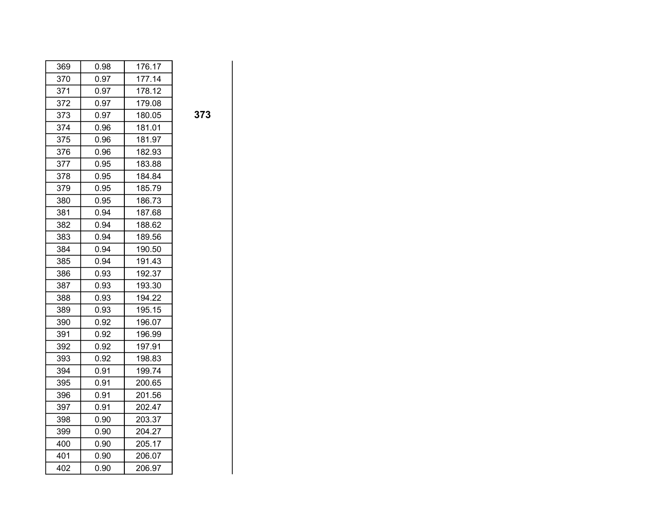| 369 | 0.98 | 176.17 |
|-----|------|--------|
| 370 | 0.97 | 177.14 |
| 371 | 0.97 | 178.12 |
| 372 | 0.97 | 179.08 |
| 373 | 0.97 | 180.05 |
| 374 | 0.96 | 181.01 |
| 375 | 0.96 | 181.97 |
| 376 | 0.96 | 182.93 |
| 377 | 0.95 | 183.88 |
| 378 | 0.95 | 184.84 |
| 379 | 0.95 | 185.79 |
| 380 | 0.95 | 186.73 |
| 381 | 0.94 | 187.68 |
| 382 | 0.94 | 188.62 |
| 383 | 0.94 | 189.56 |
| 384 | 0.94 | 190.50 |
| 385 | 0.94 | 191.43 |
| 386 | 0.93 | 192.37 |
| 387 | 0.93 | 193.30 |
| 388 | 0.93 | 194.22 |
| 389 | 0.93 | 195.15 |
| 390 | 0.92 | 196.07 |
| 391 | 0.92 | 196.99 |
| 392 | 0.92 | 197.91 |
| 393 | 0.92 | 198.83 |
| 394 | 0.91 | 199.74 |
| 395 | 0.91 | 200.65 |
| 396 | 0.91 | 201.56 |
| 397 | 0.91 | 202.47 |
| 398 | 0.90 | 203.37 |
| 399 | 0.90 | 204.27 |
| 400 | 0.90 | 205.17 |
| 401 | 0.90 | 206.07 |
| 402 | 0.90 | 206.97 |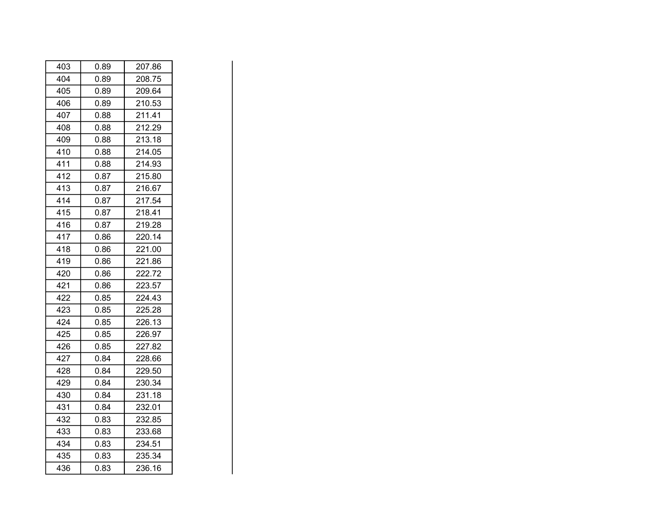| 403 | 0.89 | 207.86 |
|-----|------|--------|
| 404 | 0.89 | 208.75 |
| 405 | 0.89 | 209.64 |
| 406 | 0.89 | 210.53 |
| 407 | 0.88 | 211.41 |
| 408 | 0.88 | 212.29 |
| 409 | 0.88 | 213.18 |
| 410 | 0.88 | 214.05 |
| 411 | 0.88 | 214.93 |
| 412 | 0.87 | 215.80 |
| 413 | 0.87 | 216.67 |
| 414 | 0.87 | 217.54 |
| 415 | 0.87 | 218.41 |
| 416 | 0.87 | 219.28 |
| 417 | 0.86 | 220.14 |
| 418 | 0.86 | 221.00 |
| 419 | 0.86 | 221.86 |
| 420 | 0.86 | 222.72 |
| 421 | 0.86 | 223.57 |
| 422 | 0.85 | 224.43 |
| 423 | 0.85 | 225.28 |
| 424 | 0.85 | 226.13 |
| 425 | 0.85 | 226.97 |
| 426 | 0.85 | 227.82 |
| 427 | 0.84 | 228.66 |
| 428 | 0.84 | 229.50 |
| 429 | 0.84 | 230.34 |
| 430 | 0.84 | 231.18 |
| 431 | 0.84 | 232.01 |
| 432 | 0.83 | 232.85 |
| 433 | 0.83 | 233.68 |
| 434 | 0.83 | 234.51 |
| 435 | 0.83 | 235.34 |
| 436 | 0.83 | 236.16 |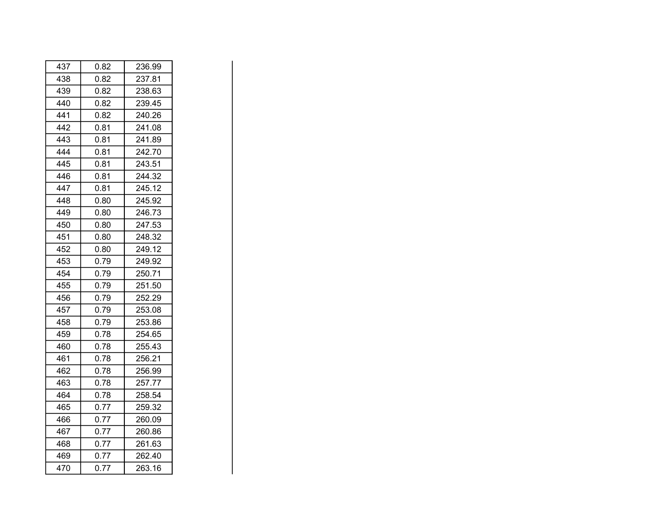| 437 | 0.82 | 236.99 |
|-----|------|--------|
| 438 | 0.82 | 237.81 |
| 439 | 0.82 | 238.63 |
| 440 | 0.82 | 239.45 |
| 441 | 0.82 | 240.26 |
| 442 | 0.81 | 241.08 |
| 443 | 0.81 | 241.89 |
| 444 | 0.81 | 242.70 |
| 445 | 0.81 | 243.51 |
| 446 | 0.81 | 244.32 |
| 447 | 0.81 | 245.12 |
| 448 | 0.80 | 245.92 |
| 449 | 0.80 | 246.73 |
| 450 | 0.80 | 247.53 |
| 451 | 0.80 | 248.32 |
| 452 | 0.80 | 249.12 |
| 453 | 0.79 | 249.92 |
| 454 | 0.79 | 250.71 |
| 455 | 0.79 | 251.50 |
| 456 | 0.79 | 252.29 |
| 457 | 0.79 | 253.08 |
| 458 | 0.79 | 253.86 |
| 459 | 0.78 | 254.65 |
| 460 | 0.78 | 255.43 |
| 461 | 0.78 | 256.21 |
| 462 | 0.78 | 256.99 |
| 463 | 0.78 | 257.77 |
| 464 | 0.78 | 258.54 |
| 465 | 0.77 | 259.32 |
| 466 | 0.77 | 260.09 |
| 467 | 0.77 | 260.86 |
| 468 | 0.77 | 261.63 |
| 469 | 0.77 | 262.40 |
| 470 | 0.77 | 263.16 |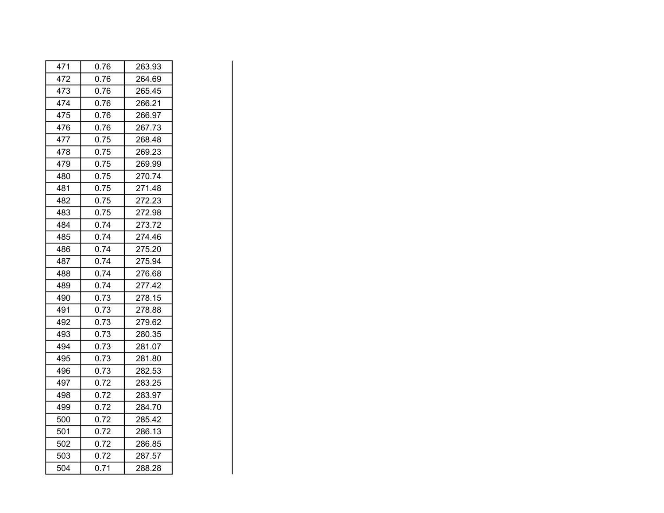| 471 | 0.76 | 263.93 |
|-----|------|--------|
| 472 | 0.76 | 264.69 |
| 473 | 0.76 | 265.45 |
| 474 | 0.76 | 266.21 |
| 475 | 0.76 | 266.97 |
| 476 | 0.76 | 267.73 |
| 477 | 0.75 | 268.48 |
| 478 | 0.75 | 269.23 |
| 479 | 0.75 | 269.99 |
| 480 | 0.75 | 270.74 |
| 481 | 0.75 | 271.48 |
| 482 | 0.75 | 272.23 |
| 483 | 0.75 | 272.98 |
| 484 | 0.74 | 273.72 |
| 485 | 0.74 | 274.46 |
| 486 | 0.74 | 275.20 |
| 487 | 0.74 | 275.94 |
| 488 | 0.74 | 276.68 |
| 489 | 0.74 | 277.42 |
| 490 | 0.73 | 278.15 |
| 491 | 0.73 | 278.88 |
| 492 | 0.73 | 279.62 |
| 493 | 0.73 | 280.35 |
| 494 | 0.73 | 281.07 |
| 495 | 0.73 | 281.80 |
| 496 | 0.73 | 282.53 |
| 497 | 0.72 | 283.25 |
| 498 | 0.72 | 283.97 |
| 499 | 0.72 | 284.70 |
| 500 | 0.72 | 285.42 |
| 501 | 0.72 | 286.13 |
| 502 | 0.72 | 286.85 |
| 503 | 0.72 | 287.57 |
| 504 | 0.71 | 288.28 |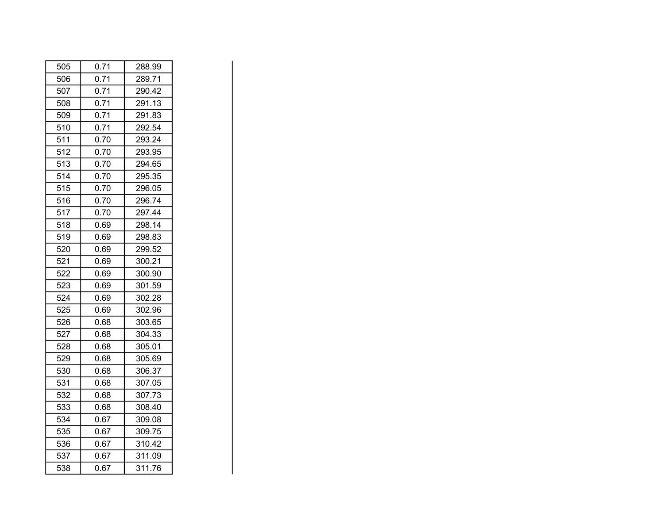| 505 | 0.71 | 288.99 |
|-----|------|--------|
| 506 | 0.71 | 289.71 |
| 507 | 0.71 | 290.42 |
| 508 | 0.71 | 291.13 |
| 509 | 0.71 | 291.83 |
| 510 | 0.71 | 292.54 |
| 511 | 0.70 | 293.24 |
| 512 | 0.70 | 293.95 |
| 513 | 0.70 | 294.65 |
| 514 | 0.70 | 295.35 |
| 515 | 0.70 | 296.05 |
| 516 | 0.70 | 296.74 |
| 517 | 0.70 | 297.44 |
| 518 | 0.69 | 298.14 |
| 519 | 0.69 | 298.83 |
| 520 | 0.69 | 299.52 |
| 521 | 0.69 | 300.21 |
| 522 | 0.69 | 300.90 |
| 523 | 0.69 | 301.59 |
| 524 | 0.69 | 302.28 |
| 525 | 0.69 | 302.96 |
| 526 | 0.68 | 303.65 |
| 527 | 0.68 | 304.33 |
| 528 | 0.68 | 305.01 |
| 529 | 0.68 | 305.69 |
| 530 | 0.68 | 306.37 |
| 531 | 0.68 | 307.05 |
| 532 | 0.68 | 307.73 |
| 533 | 0.68 | 308.40 |
| 534 | 0.67 | 309.08 |
| 535 | 0.67 | 309.75 |
| 536 | 0.67 | 310.42 |
| 537 | 0.67 | 311.09 |
| 538 | 0.67 | 311.76 |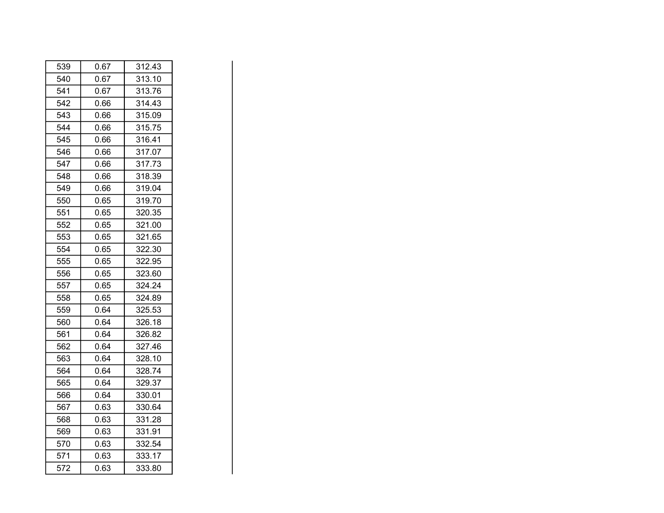| 539 | 0.67 | 312.43 |
|-----|------|--------|
| 540 | 0.67 | 313.10 |
| 541 | 0.67 | 313.76 |
| 542 | 0.66 | 314.43 |
| 543 | 0.66 | 315.09 |
| 544 | 0.66 | 315.75 |
| 545 | 0.66 | 316.41 |
| 546 | 0.66 | 317.07 |
| 547 | 0.66 | 317.73 |
| 548 | 0.66 | 318.39 |
| 549 | 0.66 | 319.04 |
| 550 | 0.65 | 319.70 |
| 551 | 0.65 | 320.35 |
| 552 | 0.65 | 321.00 |
| 553 | 0.65 | 321.65 |
| 554 | 0.65 | 322.30 |
| 555 | 0.65 | 322.95 |
| 556 | 0.65 | 323.60 |
| 557 | 0.65 | 324.24 |
| 558 | 0.65 | 324.89 |
| 559 | 0.64 | 325.53 |
| 560 | 0.64 | 326.18 |
| 561 | 0.64 | 326.82 |
| 562 | 0.64 | 327.46 |
| 563 | 0.64 | 328.10 |
| 564 | 0.64 | 328.74 |
| 565 | 0.64 | 329.37 |
| 566 | 0.64 | 330.01 |
| 567 | 0.63 | 330.64 |
| 568 | 0.63 | 331.28 |
| 569 | 0.63 | 331.91 |
| 570 | 0.63 | 332.54 |
| 571 | 0.63 | 333.17 |
| 572 | 0.63 | 333.80 |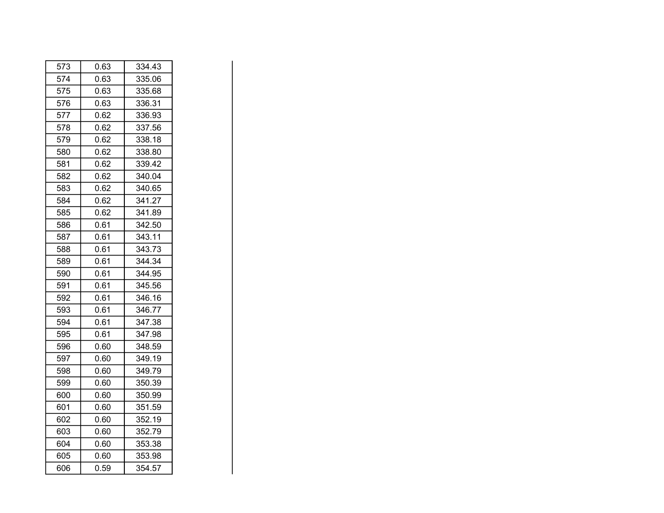| 573 | 0.63 | 334.43 |
|-----|------|--------|
| 574 | 0.63 | 335.06 |
| 575 | 0.63 | 335.68 |
| 576 | 0.63 | 336.31 |
| 577 | 0.62 | 336.93 |
| 578 | 0.62 | 337.56 |
| 579 | 0.62 | 338.18 |
| 580 | 0.62 | 338.80 |
| 581 | 0.62 | 339.42 |
| 582 | 0.62 | 340.04 |
| 583 | 0.62 | 340.65 |
| 584 | 0.62 | 341.27 |
| 585 | 0.62 | 341.89 |
| 586 | 0.61 | 342.50 |
| 587 | 0.61 | 343.11 |
| 588 | 0.61 | 343.73 |
| 589 | 0.61 | 344.34 |
| 590 | 0.61 | 344.95 |
| 591 | 0.61 | 345.56 |
| 592 | 0.61 | 346.16 |
| 593 | 0.61 | 346.77 |
| 594 | 0.61 | 347.38 |
| 595 | 0.61 | 347.98 |
| 596 | 0.60 | 348.59 |
| 597 | 0.60 | 349.19 |
| 598 | 0.60 | 349.79 |
| 599 | 0.60 | 350.39 |
| 600 | 0.60 | 350.99 |
| 601 | 0.60 | 351.59 |
| 602 | 0.60 | 352.19 |
| 603 | 0.60 | 352.79 |
| 604 | 0.60 | 353.38 |
| 605 | 0.60 | 353.98 |
| 606 | 0.59 | 354.57 |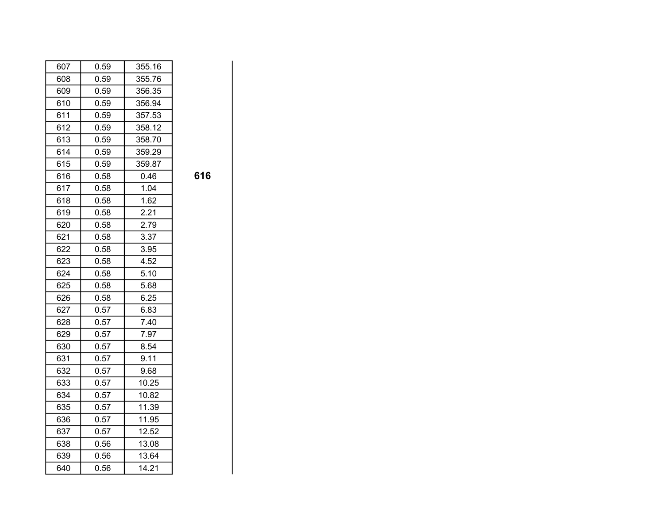| 607 | 0.59 | 355.16 |     |
|-----|------|--------|-----|
| 608 | 0.59 | 355.76 |     |
| 609 | 0.59 | 356.35 |     |
| 610 | 0.59 | 356.94 |     |
| 611 | 0.59 | 357.53 |     |
| 612 | 0.59 | 358.12 |     |
| 613 | 0.59 | 358.70 |     |
| 614 | 0.59 | 359.29 |     |
| 615 | 0.59 | 359.87 |     |
| 616 | 0.58 | 0.46   | 616 |
| 617 | 0.58 | 1.04   |     |
| 618 | 0.58 | 1.62   |     |
| 619 | 0.58 | 2.21   |     |
| 620 | 0.58 | 2.79   |     |
| 621 | 0.58 | 3.37   |     |
| 622 | 0.58 | 3.95   |     |
| 623 | 0.58 | 4.52   |     |
| 624 | 0.58 | 5.10   |     |
| 625 | 0.58 | 5.68   |     |
| 626 | 0.58 | 6.25   |     |
| 627 | 0.57 | 6.83   |     |
| 628 | 0.57 | 7.40   |     |
| 629 | 0.57 | 7.97   |     |
| 630 | 0.57 | 8.54   |     |
| 631 | 0.57 | 9.11   |     |
| 632 | 0.57 | 9.68   |     |
| 633 | 0.57 | 10.25  |     |
| 634 | 0.57 | 10.82  |     |
| 635 | 0.57 | 11.39  |     |
| 636 | 0.57 | 11.95  |     |
| 637 | 0.57 | 12.52  |     |
| 638 | 0.56 | 13.08  |     |
| 639 | 0.56 | 13.64  |     |
| 640 | 0.56 | 14.21  |     |

| I  |         |   |
|----|---------|---|
| ۰  | I<br>۰. |   |
| P. |         | v |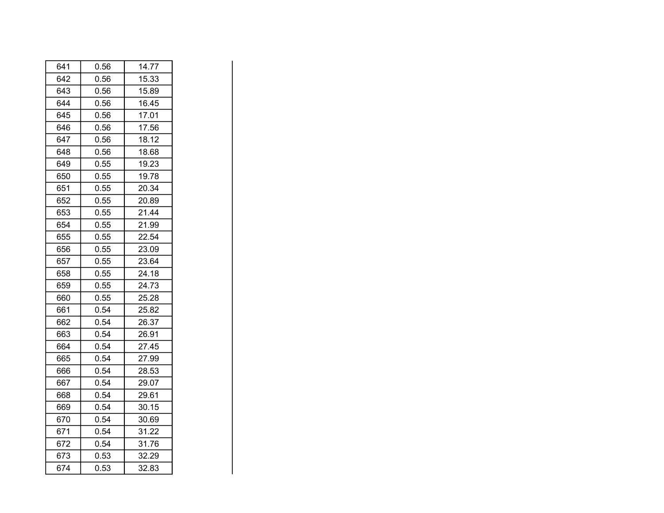| 641 | 0.56 | 14.77 |
|-----|------|-------|
| 642 | 0.56 | 15.33 |
| 643 | 0.56 | 15.89 |
| 644 | 0.56 | 16.45 |
| 645 | 0.56 | 17.01 |
| 646 | 0.56 | 17.56 |
| 647 | 0.56 | 18.12 |
| 648 | 0.56 | 18.68 |
| 649 | 0.55 | 19.23 |
| 650 | 0.55 | 19.78 |
| 651 | 0.55 | 20.34 |
| 652 | 0.55 | 20.89 |
| 653 | 0.55 | 21.44 |
| 654 | 0.55 | 21.99 |
| 655 | 0.55 | 22.54 |
| 656 | 0.55 | 23.09 |
| 657 | 0.55 | 23.64 |
| 658 | 0.55 | 24.18 |
| 659 | 0.55 | 24.73 |
| 660 | 0.55 | 25.28 |
| 661 | 0.54 | 25.82 |
| 662 | 0.54 | 26.37 |
| 663 | 0.54 | 26.91 |
| 664 | 0.54 | 27.45 |
| 665 | 0.54 | 27.99 |
| 666 | 0.54 | 28.53 |
| 667 | 0.54 | 29.07 |
| 668 | 0.54 | 29.61 |
| 669 | 0.54 | 30.15 |
| 670 | 0.54 | 30.69 |
| 671 | 0.54 | 31.22 |
| 672 | 0.54 | 31.76 |
| 673 | 0.53 | 32.29 |
| 674 | 0.53 | 32.83 |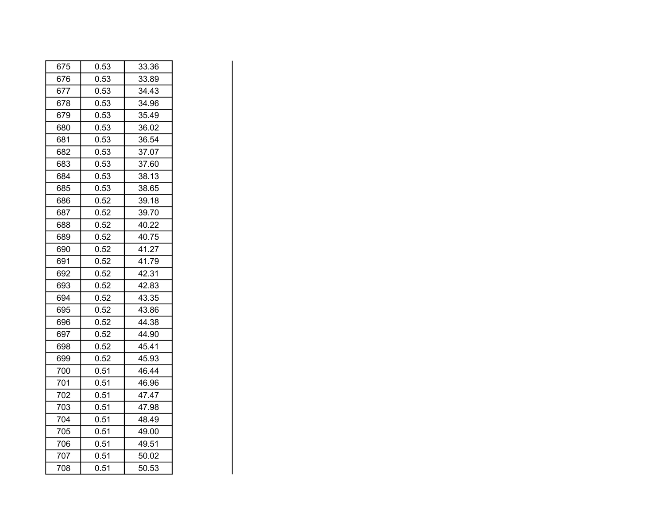| 675 | 0.53 | 33.36 |
|-----|------|-------|
| 676 | 0.53 | 33.89 |
| 677 | 0.53 | 34.43 |
| 678 | 0.53 | 34.96 |
| 679 | 0.53 | 35.49 |
| 680 | 0.53 | 36.02 |
| 681 | 0.53 | 36.54 |
| 682 | 0.53 | 37.07 |
| 683 | 0.53 | 37.60 |
| 684 | 0.53 | 38.13 |
| 685 | 0.53 | 38.65 |
| 686 | 0.52 | 39.18 |
| 687 | 0.52 | 39.70 |
| 688 | 0.52 | 40.22 |
| 689 | 0.52 | 40.75 |
| 690 | 0.52 | 41.27 |
| 691 | 0.52 | 41.79 |
| 692 | 0.52 | 42.31 |
| 693 | 0.52 | 42.83 |
| 694 | 0.52 | 43.35 |
| 695 | 0.52 | 43.86 |
| 696 | 0.52 | 44.38 |
| 697 | 0.52 | 44.90 |
| 698 | 0.52 | 45.41 |
| 699 | 0.52 | 45.93 |
| 700 | 0.51 | 46.44 |
| 701 | 0.51 | 46.96 |
| 702 | 0.51 | 47.47 |
| 703 | 0.51 | 47.98 |
| 704 | 0.51 | 48.49 |
| 705 | 0.51 | 49.00 |
| 706 | 0.51 | 49.51 |
| 707 | 0.51 | 50.02 |
| 708 | 0.51 | 50.53 |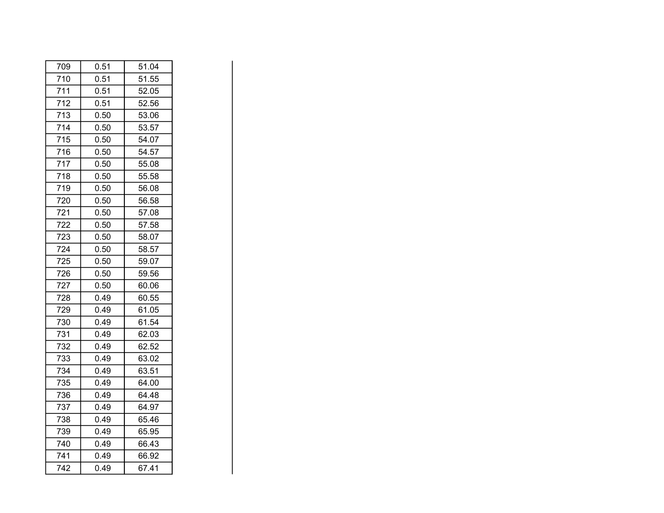| 709 | 0.51 | 51.04 |
|-----|------|-------|
| 710 | 0.51 | 51.55 |
| 711 | 0.51 | 52.05 |
| 712 | 0.51 | 52.56 |
| 713 | 0.50 | 53.06 |
| 714 | 0.50 | 53.57 |
| 715 | 0.50 | 54.07 |
| 716 | 0.50 | 54.57 |
| 717 | 0.50 | 55.08 |
| 718 | 0.50 | 55.58 |
| 719 | 0.50 | 56.08 |
| 720 | 0.50 | 56.58 |
| 721 | 0.50 | 57.08 |
| 722 | 0.50 | 57.58 |
| 723 | 0.50 | 58.07 |
| 724 | 0.50 | 58.57 |
| 725 | 0.50 | 59.07 |
| 726 | 0.50 | 59.56 |
| 727 | 0.50 | 60.06 |
| 728 | 0.49 | 60.55 |
| 729 | 0.49 | 61.05 |
| 730 | 0.49 | 61.54 |
| 731 | 0.49 | 62.03 |
| 732 | 0.49 | 62.52 |
| 733 | 0.49 | 63.02 |
| 734 | 0.49 | 63.51 |
| 735 | 0.49 | 64.00 |
| 736 | 0.49 | 64.48 |
| 737 | 0.49 | 64.97 |
| 738 | 0.49 | 65.46 |
| 739 | 0.49 | 65.95 |
| 740 | 0.49 | 66.43 |
| 741 | 0.49 | 66.92 |
| 742 | 0.49 | 67.41 |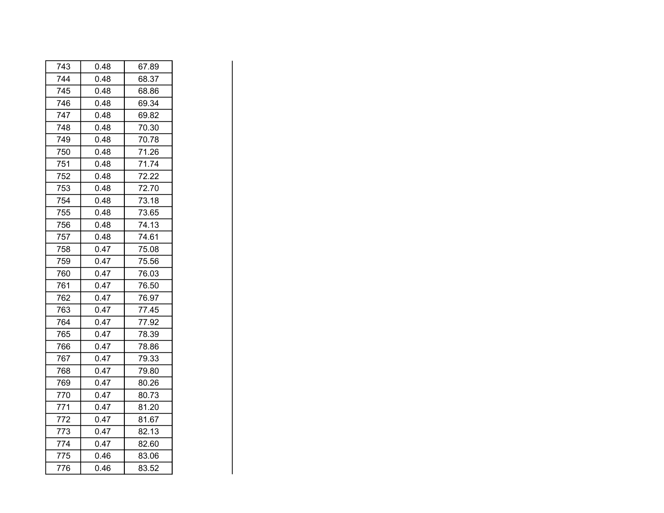| 743 | 0.48 | 67.89 |
|-----|------|-------|
| 744 | 0.48 | 68.37 |
| 745 | 0.48 | 68.86 |
| 746 | 0.48 | 69.34 |
| 747 | 0.48 | 69.82 |
| 748 | 0.48 | 70.30 |
| 749 | 0.48 | 70.78 |
| 750 | 0.48 | 71.26 |
| 751 | 0.48 | 71.74 |
| 752 | 0.48 | 72.22 |
| 753 | 0.48 | 72.70 |
| 754 | 0.48 | 73.18 |
| 755 | 0.48 | 73.65 |
| 756 | 0.48 | 74.13 |
| 757 | 0.48 | 74.61 |
| 758 | 0.47 | 75.08 |
| 759 | 0.47 | 75.56 |
| 760 | 0.47 | 76.03 |
| 761 | 0.47 | 76.50 |
| 762 | 0.47 | 76.97 |
| 763 | 0.47 | 77.45 |
| 764 | 0.47 | 77.92 |
| 765 | 0.47 | 78.39 |
| 766 | 0.47 | 78.86 |
| 767 | 0.47 | 79.33 |
| 768 | 0.47 | 79.80 |
| 769 | 0.47 | 80.26 |
| 770 | 0.47 | 80.73 |
| 771 | 0.47 | 81.20 |
| 772 | 0.47 | 81.67 |
| 773 | 0.47 | 82.13 |
| 774 | 0.47 | 82.60 |
| 775 | 0.46 | 83.06 |
| 776 | 0.46 | 83.52 |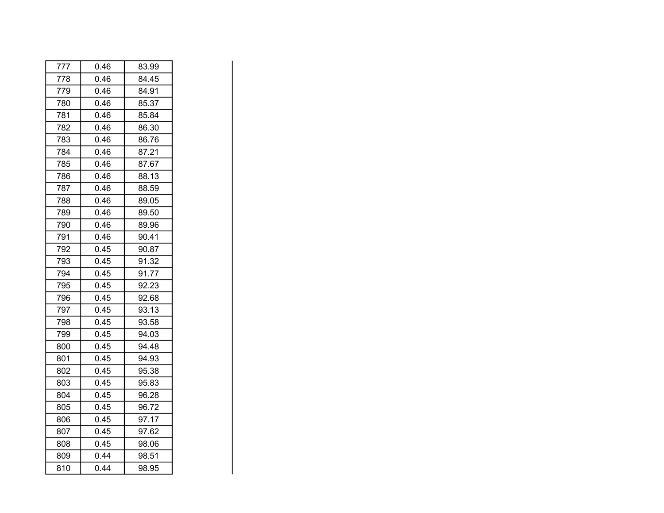| 777 | 0.46 | 83.99 |
|-----|------|-------|
| 778 | 0.46 | 84.45 |
| 779 | 0.46 | 84.91 |
| 780 | 0.46 | 85.37 |
| 781 | 0.46 | 85.84 |
| 782 | 0.46 | 86.30 |
| 783 | 0.46 | 86.76 |
| 784 | 0.46 | 87.21 |
| 785 | 0.46 | 87.67 |
| 786 | 0.46 | 88.13 |
| 787 | 0.46 | 88.59 |
| 788 | 0.46 | 89.05 |
| 789 | 0.46 | 89.50 |
| 790 | 0.46 | 89.96 |
| 791 | 0.46 | 90.41 |
| 792 | 0.45 | 90.87 |
| 793 | 0.45 | 91.32 |
| 794 | 0.45 | 91.77 |
| 795 | 0.45 | 92.23 |
| 796 | 0.45 | 92.68 |
| 797 | 0.45 | 93.13 |
| 798 | 0.45 | 93.58 |
| 799 | 0.45 | 94.03 |
| 800 | 0.45 | 94.48 |
| 801 | 0.45 | 94.93 |
| 802 | 0.45 | 95.38 |
| 803 | 0.45 | 95.83 |
| 804 | 0.45 | 96.28 |
| 805 | 0.45 | 96.72 |
| 806 | 0.45 | 97.17 |
| 807 | 0.45 | 97.62 |
| 808 | 0.45 | 98.06 |
| 809 | 0.44 | 98.51 |
| 810 | 0.44 | 98.95 |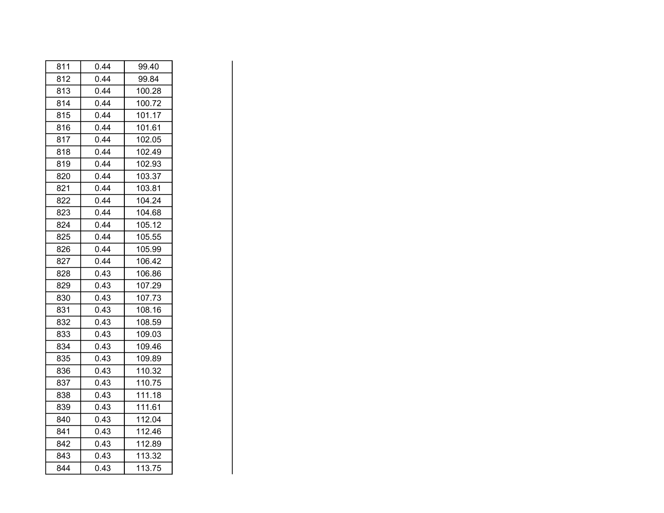| 811 | 0.44 | 99.40  |
|-----|------|--------|
| 812 | 0.44 | 99.84  |
| 813 | 0.44 | 100.28 |
| 814 | 0.44 | 100.72 |
| 815 | 0.44 | 101.17 |
| 816 | 0.44 | 101.61 |
| 817 | 0.44 | 102.05 |
| 818 | 0.44 | 102.49 |
| 819 | 0.44 | 102.93 |
| 820 | 0.44 | 103.37 |
| 821 | 0.44 | 103.81 |
| 822 | 0.44 | 104.24 |
| 823 | 0.44 | 104.68 |
| 824 | 0.44 | 105.12 |
| 825 | 0.44 | 105.55 |
| 826 | 0.44 | 105.99 |
| 827 | 0.44 | 106.42 |
| 828 | 0.43 | 106.86 |
| 829 | 0.43 | 107.29 |
| 830 | 0.43 | 107.73 |
| 831 | 0.43 | 108.16 |
| 832 | 0.43 | 108.59 |
| 833 | 0.43 | 109.03 |
| 834 | 0.43 | 109.46 |
| 835 | 0.43 | 109.89 |
| 836 | 0.43 | 110.32 |
| 837 | 0.43 | 110.75 |
| 838 | 0.43 | 111.18 |
| 839 | 0.43 | 111.61 |
| 840 | 0.43 | 112.04 |
| 841 | 0.43 | 112.46 |
| 842 | 0.43 | 112.89 |
| 843 | 0.43 | 113.32 |
| 844 | 0.43 | 113.75 |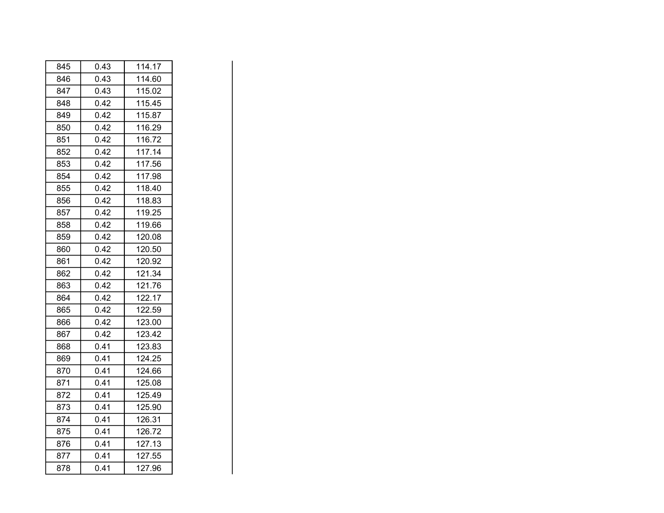| 845 | 0.43 | 114.17 |
|-----|------|--------|
| 846 | 0.43 | 114.60 |
| 847 | 0.43 | 115.02 |
| 848 | 0.42 | 115.45 |
| 849 | 0.42 | 115.87 |
| 850 | 0.42 | 116.29 |
| 851 | 0.42 | 116.72 |
| 852 | 0.42 | 117.14 |
| 853 | 0.42 | 117.56 |
| 854 | 0.42 | 117.98 |
| 855 | 0.42 | 118.40 |
| 856 | 0.42 | 118.83 |
| 857 | 0.42 | 119.25 |
| 858 | 0.42 | 119.66 |
| 859 | 0.42 | 120.08 |
| 860 | 0.42 | 120.50 |
| 861 | 0.42 | 120.92 |
| 862 | 0.42 | 121.34 |
| 863 | 0.42 | 121.76 |
| 864 | 0.42 | 122.17 |
| 865 | 0.42 | 122.59 |
| 866 | 0.42 | 123.00 |
| 867 | 0.42 | 123.42 |
| 868 | 0.41 | 123.83 |
| 869 | 0.41 | 124.25 |
| 870 | 0.41 | 124.66 |
| 871 | 0.41 | 125.08 |
| 872 | 0.41 | 125.49 |
| 873 | 0.41 | 125.90 |
| 874 | 0.41 | 126.31 |
| 875 | 0.41 | 126.72 |
| 876 | 0.41 | 127.13 |
| 877 | 0.41 | 127.55 |
| 878 | 0.41 | 127.96 |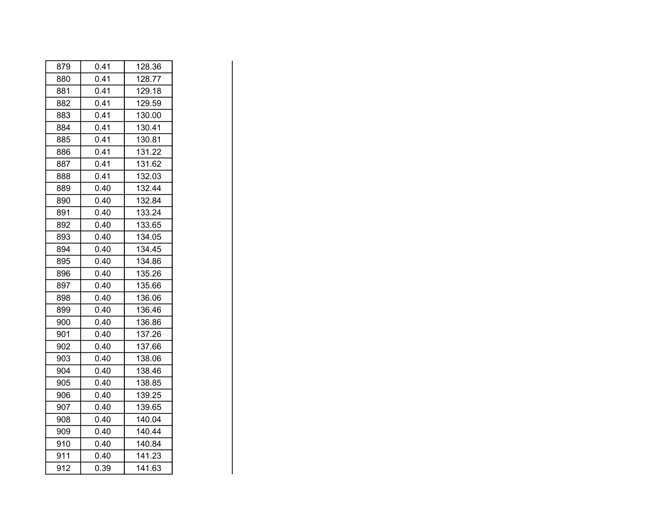| 879 | 0.41 | 128.36 |
|-----|------|--------|
| 880 | 0.41 | 128.77 |
| 881 | 0.41 | 129.18 |
| 882 | 0.41 | 129.59 |
| 883 | 0.41 | 130.00 |
| 884 | 0.41 | 130.41 |
| 885 | 0.41 | 130.81 |
| 886 | 0.41 | 131.22 |
| 887 | 0.41 | 131.62 |
| 888 | 0.41 | 132.03 |
| 889 | 0.40 | 132.44 |
| 890 | 0.40 | 132.84 |
| 891 | 0.40 | 133.24 |
| 892 | 0.40 | 133.65 |
| 893 | 0.40 | 134.05 |
| 894 | 0.40 | 134.45 |
| 895 | 0.40 | 134.86 |
| 896 | 0.40 | 135.26 |
| 897 | 0.40 | 135.66 |
| 898 | 0.40 | 136.06 |
| 899 | 0.40 | 136.46 |
| 900 | 0.40 | 136.86 |
| 901 | 0.40 | 137.26 |
| 902 | 0.40 | 137.66 |
| 903 | 0.40 | 138.06 |
| 904 | 0.40 | 138.46 |
| 905 | 0.40 | 138.85 |
| 906 | 0.40 | 139.25 |
| 907 | 0.40 | 139.65 |
| 908 | 0.40 | 140.04 |
| 909 | 0.40 | 140.44 |
| 910 | 0.40 | 140.84 |
| 911 | 0.40 | 141.23 |
| 912 | 0.39 | 141.63 |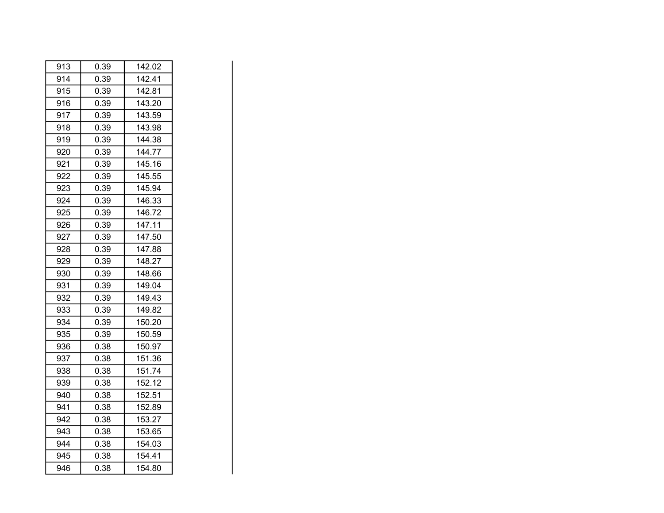| 913 | 0.39 | 142.02 |
|-----|------|--------|
| 914 | 0.39 | 142.41 |
| 915 | 0.39 | 142.81 |
| 916 | 0.39 | 143.20 |
| 917 | 0.39 | 143.59 |
| 918 | 0.39 | 143.98 |
| 919 | 0.39 | 144.38 |
| 920 | 0.39 | 144.77 |
| 921 | 0.39 | 145.16 |
| 922 | 0.39 | 145.55 |
| 923 | 0.39 | 145.94 |
| 924 | 0.39 | 146.33 |
| 925 | 0.39 | 146.72 |
| 926 | 0.39 | 147.11 |
| 927 | 0.39 | 147.50 |
| 928 | 0.39 | 147.88 |
| 929 | 0.39 | 148.27 |
| 930 | 0.39 | 148.66 |
| 931 | 0.39 | 149.04 |
| 932 | 0.39 | 149.43 |
| 933 | 0.39 | 149.82 |
| 934 | 0.39 | 150.20 |
| 935 | 0.39 | 150.59 |
| 936 | 0.38 | 150.97 |
| 937 | 0.38 | 151.36 |
| 938 | 0.38 | 151.74 |
| 939 | 0.38 | 152.12 |
| 940 | 0.38 | 152.51 |
| 941 | 0.38 | 152.89 |
| 942 | 0.38 | 153.27 |
| 943 | 0.38 | 153.65 |
| 944 | 0.38 | 154.03 |
| 945 | 0.38 | 154.41 |
| 946 | 0.38 | 154.80 |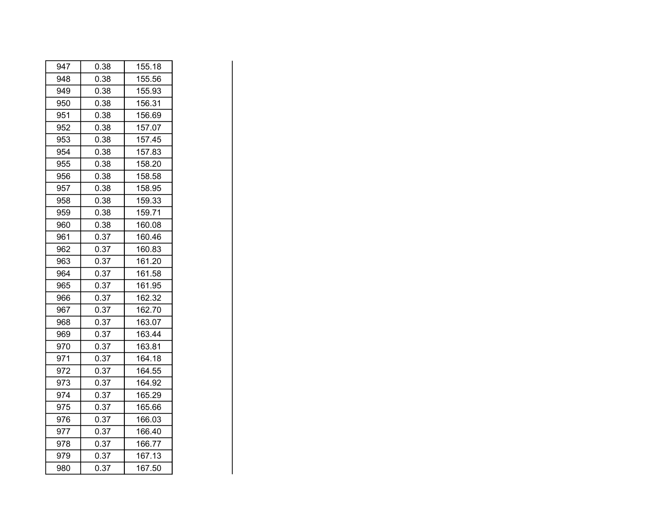| 947 | 0.38 | 155.18 |
|-----|------|--------|
| 948 | 0.38 | 155.56 |
| 949 | 0.38 | 155.93 |
| 950 | 0.38 | 156.31 |
| 951 | 0.38 | 156.69 |
| 952 | 0.38 | 157.07 |
| 953 | 0.38 | 157.45 |
| 954 | 0.38 | 157.83 |
| 955 | 0.38 | 158.20 |
| 956 | 0.38 | 158.58 |
| 957 | 0.38 | 158.95 |
| 958 | 0.38 | 159.33 |
| 959 | 0.38 | 159.71 |
| 960 | 0.38 | 160.08 |
| 961 | 0.37 | 160.46 |
| 962 | 0.37 | 160.83 |
| 963 | 0.37 | 161.20 |
| 964 | 0.37 | 161.58 |
| 965 | 0.37 | 161.95 |
| 966 | 0.37 | 162.32 |
| 967 | 0.37 | 162.70 |
| 968 | 0.37 | 163.07 |
| 969 | 0.37 | 163.44 |
| 970 | 0.37 | 163.81 |
| 971 | 0.37 | 164.18 |
| 972 | 0.37 | 164.55 |
| 973 | 0.37 | 164.92 |
| 974 | 0.37 | 165.29 |
| 975 | 0.37 | 165.66 |
| 976 | 0.37 | 166.03 |
| 977 | 0.37 | 166.40 |
| 978 | 0.37 | 166.77 |
| 979 | 0.37 | 167.13 |
| 980 | 0.37 | 167.50 |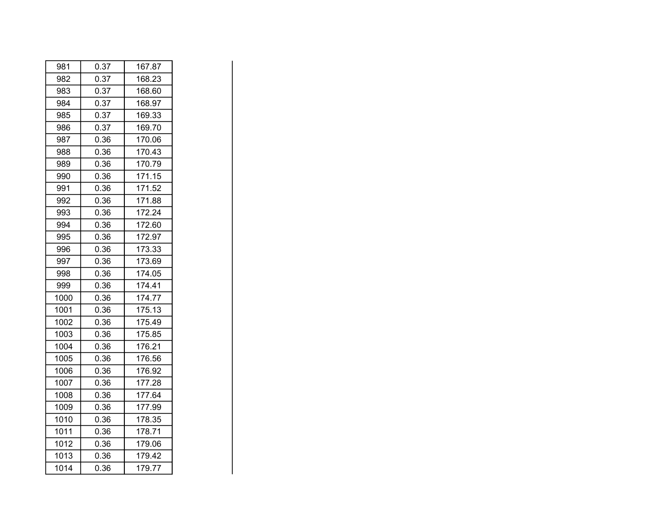| 981  | 0.37 | 167.87 |
|------|------|--------|
| 982  | 0.37 | 168.23 |
| 983  | 0.37 | 168.60 |
| 984  | 0.37 | 168.97 |
| 985  | 0.37 | 169.33 |
| 986  | 0.37 | 169.70 |
| 987  | 0.36 | 170.06 |
| 988  | 0.36 | 170.43 |
| 989  | 0.36 | 170.79 |
| 990  | 0.36 | 171.15 |
| 991  | 0.36 | 171.52 |
| 992  | 0.36 | 171.88 |
| 993  | 0.36 | 172.24 |
| 994  | 0.36 | 172.60 |
| 995  | 0.36 | 172.97 |
| 996  | 0.36 | 173.33 |
| 997  | 0.36 | 173.69 |
| 998  | 0.36 | 174.05 |
| 999  | 0.36 | 174.41 |
| 1000 | 0.36 | 174.77 |
| 1001 | 0.36 | 175.13 |
| 1002 | 0.36 | 175.49 |
| 1003 | 0.36 | 175.85 |
| 1004 | 0.36 | 176.21 |
| 1005 | 0.36 | 176.56 |
| 1006 | 0.36 | 176.92 |
| 1007 | 0.36 | 177.28 |
| 1008 | 0.36 | 177.64 |
| 1009 | 0.36 | 177.99 |
| 1010 | 0.36 | 178.35 |
| 1011 | 0.36 | 178.71 |
| 1012 | 0.36 | 179.06 |
| 1013 | 0.36 | 179.42 |
| 1014 | 0.36 | 179.77 |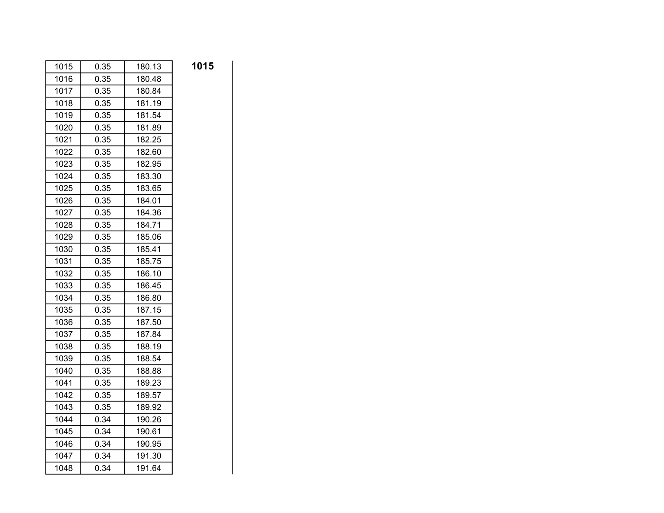| 1015 | 0.35 | 180.13 | 1015 |
|------|------|--------|------|
| 1016 | 0.35 | 180.48 |      |
| 1017 | 0.35 | 180.84 |      |
| 1018 | 0.35 | 181.19 |      |
| 1019 | 0.35 | 181.54 |      |
| 1020 | 0.35 | 181.89 |      |
| 1021 | 0.35 | 182.25 |      |
| 1022 | 0.35 | 182.60 |      |
| 1023 | 0.35 | 182.95 |      |
| 1024 | 0.35 | 183.30 |      |
| 1025 | 0.35 | 183.65 |      |
| 1026 | 0.35 | 184.01 |      |
| 1027 | 0.35 | 184.36 |      |
| 1028 | 0.35 | 184.71 |      |
| 1029 | 0.35 | 185.06 |      |
| 1030 | 0.35 | 185.41 |      |
| 1031 | 0.35 | 185.75 |      |
| 1032 | 0.35 | 186.10 |      |
| 1033 | 0.35 | 186.45 |      |
| 1034 | 0.35 | 186.80 |      |
| 1035 | 0.35 | 187.15 |      |
| 1036 | 0.35 | 187.50 |      |
| 1037 | 0.35 | 187.84 |      |
| 1038 | 0.35 | 188.19 |      |
| 1039 | 0.35 | 188.54 |      |
| 1040 | 0.35 | 188.88 |      |
| 1041 | 0.35 | 189.23 |      |
| 1042 | 0.35 | 189.57 |      |
| 1043 | 0.35 | 189.92 |      |
| 1044 | 0.34 | 190.26 |      |
| 1045 | 0.34 | 190.61 |      |
| 1046 | 0.34 | 190.95 |      |
| 1047 | 0.34 | 191.30 |      |
| 1048 | 0.34 | 191.64 |      |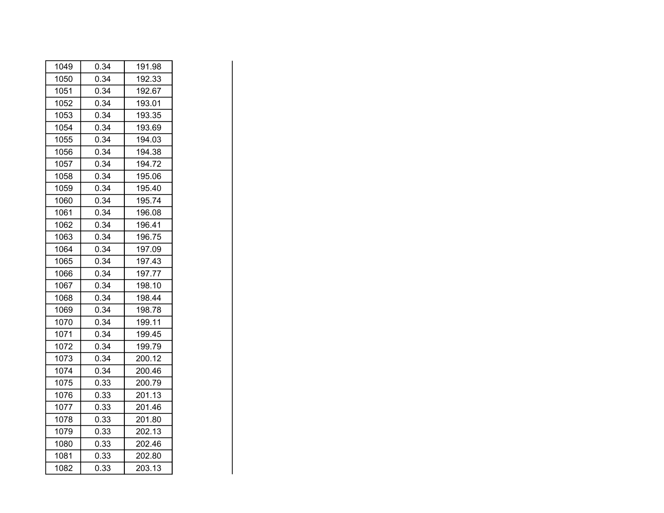| 1049 | 0.34 | 191.98 |
|------|------|--------|
| 1050 | 0.34 | 192.33 |
| 1051 | 0.34 | 192.67 |
| 1052 | 0.34 | 193.01 |
| 1053 | 0.34 | 193.35 |
| 1054 | 0.34 | 193.69 |
| 1055 | 0.34 | 194.03 |
| 1056 | 0.34 | 194.38 |
| 1057 | 0.34 | 194.72 |
| 1058 | 0.34 | 195.06 |
| 1059 | 0.34 | 195.40 |
| 1060 | 0.34 | 195.74 |
| 1061 | 0.34 | 196.08 |
| 1062 | 0.34 | 196.41 |
| 1063 | 0.34 | 196.75 |
| 1064 | 0.34 | 197.09 |
| 1065 | 0.34 | 197.43 |
| 1066 | 0.34 | 197.77 |
| 1067 | 0.34 | 198.10 |
| 1068 | 0.34 | 198.44 |
| 1069 | 0.34 | 198.78 |
| 1070 | 0.34 | 199.11 |
| 1071 | 0.34 | 199.45 |
| 1072 | 0.34 | 199.79 |
| 1073 | 0.34 | 200.12 |
| 1074 | 0.34 | 200.46 |
| 1075 | 0.33 | 200.79 |
| 1076 | 0.33 | 201.13 |
| 1077 | 0.33 | 201.46 |
| 1078 | 0.33 | 201.80 |
| 1079 | 0.33 | 202.13 |
| 1080 | 0.33 | 202.46 |
| 1081 | 0.33 | 202.80 |
| 1082 | 0.33 | 203.13 |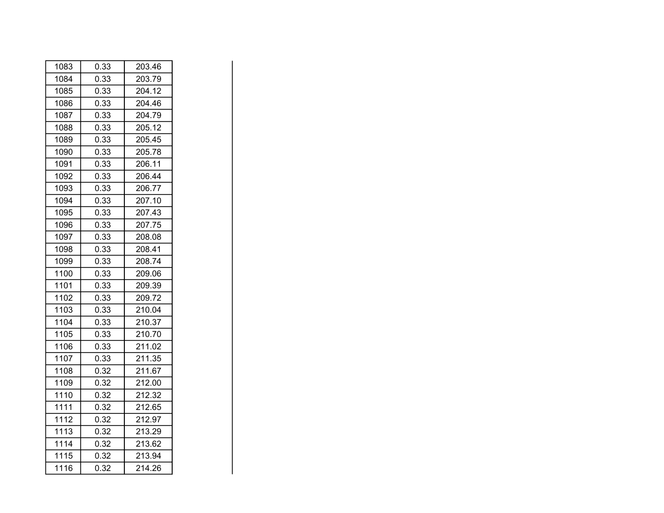| 1083 | 0.33 | 203.46 |
|------|------|--------|
| 1084 | 0.33 | 203.79 |
| 1085 | 0.33 | 204.12 |
| 1086 | 0.33 | 204.46 |
| 1087 | 0.33 | 204.79 |
| 1088 | 0.33 | 205.12 |
| 1089 | 0.33 | 205.45 |
| 1090 | 0.33 | 205.78 |
| 1091 | 0.33 | 206.11 |
| 1092 | 0.33 | 206.44 |
| 1093 | 0.33 | 206.77 |
| 1094 | 0.33 | 207.10 |
| 1095 | 0.33 | 207.43 |
| 1096 | 0.33 | 207.75 |
| 1097 | 0.33 | 208.08 |
| 1098 | 0.33 | 208.41 |
| 1099 | 0.33 | 208.74 |
| 1100 | 0.33 | 209.06 |
| 1101 | 0.33 | 209.39 |
| 1102 | 0.33 | 209.72 |
| 1103 | 0.33 | 210.04 |
| 1104 | 0.33 | 210.37 |
| 1105 | 0.33 | 210.70 |
| 1106 | 0.33 | 211.02 |
| 1107 | 0.33 | 211.35 |
| 1108 | 0.32 | 211.67 |
| 1109 | 0.32 | 212.00 |
| 1110 | 0.32 | 212.32 |
| 1111 | 0.32 | 212.65 |
| 1112 | 0.32 | 212.97 |
| 1113 | 0.32 | 213.29 |
| 1114 | 0.32 | 213.62 |
| 1115 | 0.32 | 213.94 |
| 1116 | 0.32 | 214.26 |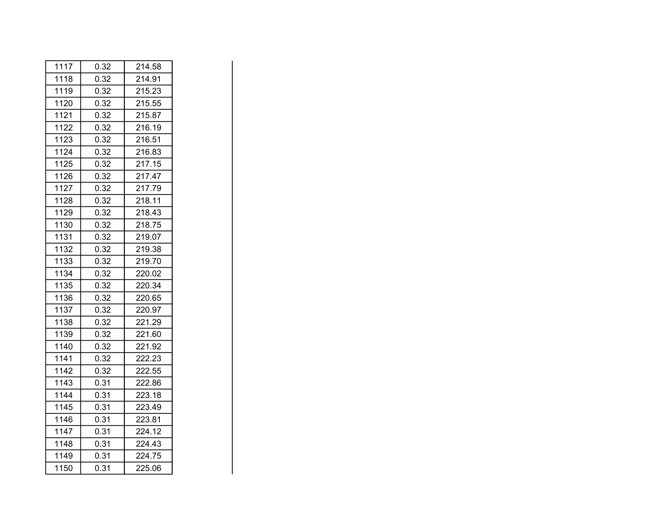| 1117 | 0.32 | 214.58 |
|------|------|--------|
| 1118 | 0.32 | 214.91 |
| 1119 | 0.32 | 215.23 |
| 1120 | 0.32 | 215.55 |
| 1121 | 0.32 | 215.87 |
| 1122 | 0.32 | 216.19 |
| 1123 | 0.32 | 216.51 |
| 1124 | 0.32 | 216.83 |
| 1125 | 0.32 | 217.15 |
| 1126 | 0.32 | 217.47 |
| 1127 | 0.32 | 217.79 |
| 1128 | 0.32 | 218.11 |
| 1129 | 0.32 | 218.43 |
| 1130 | 0.32 | 218.75 |
| 1131 | 0.32 | 219.07 |
| 1132 | 0.32 | 219.38 |
| 1133 | 0.32 | 219.70 |
| 1134 | 0.32 | 220.02 |
| 1135 | 0.32 | 220.34 |
| 1136 | 0.32 | 220.65 |
| 1137 | 0.32 | 220.97 |
| 1138 | 0.32 | 221.29 |
| 1139 | 0.32 | 221.60 |
| 1140 | 0.32 | 221.92 |
| 1141 | 0.32 | 222.23 |
| 1142 | 0.32 | 222.55 |
| 1143 | 0.31 | 222.86 |
| 1144 | 0.31 | 223.18 |
| 1145 | 0.31 | 223.49 |
| 1146 | 0.31 | 223.81 |
| 1147 | 0.31 | 224.12 |
| 1148 | 0.31 | 224.43 |
| 1149 | 0.31 | 224.75 |
| 1150 | 0.31 | 225.06 |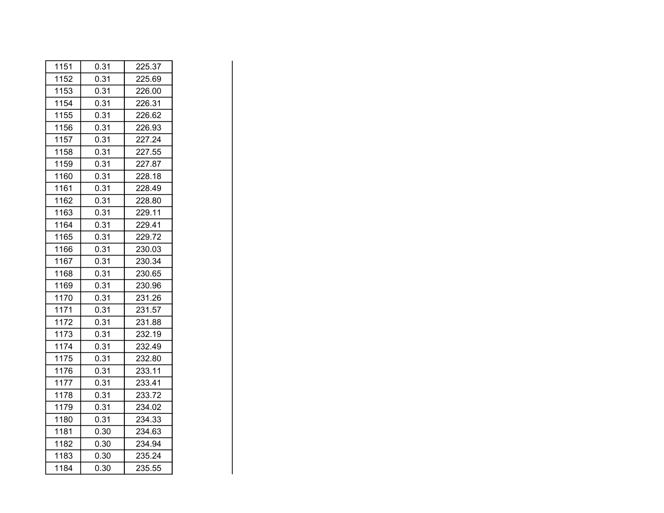| 1151 | 0.31 | 225.37 |
|------|------|--------|
| 1152 | 0.31 | 225.69 |
| 1153 | 0.31 | 226.00 |
| 1154 | 0.31 | 226.31 |
| 1155 | 0.31 | 226.62 |
| 1156 | 0.31 | 226.93 |
| 1157 | 0.31 | 227.24 |
| 1158 | 0.31 | 227.55 |
| 1159 | 0.31 | 227.87 |
| 1160 | 0.31 | 228.18 |
| 1161 | 0.31 | 228.49 |
| 1162 | 0.31 | 228.80 |
| 1163 | 0.31 | 229.11 |
| 1164 | 0.31 | 229.41 |
| 1165 | 0.31 | 229.72 |
| 1166 | 0.31 | 230.03 |
| 1167 | 0.31 | 230.34 |
| 1168 | 0.31 | 230.65 |
| 1169 | 0.31 | 230.96 |
| 1170 | 0.31 | 231.26 |
| 1171 | 0.31 | 231.57 |
| 1172 | 0.31 | 231.88 |
| 1173 | 0.31 | 232.19 |
| 1174 | 0.31 | 232.49 |
| 1175 | 0.31 | 232.80 |
| 1176 | 0.31 | 233.11 |
| 1177 | 0.31 | 233.41 |
| 1178 | 0.31 | 233.72 |
| 1179 | 0.31 | 234.02 |
| 1180 | 0.31 | 234.33 |
| 1181 | 0.30 | 234.63 |
| 1182 | 0.30 | 234.94 |
| 1183 | 0.30 | 235.24 |
| 1184 | 0.30 | 235.55 |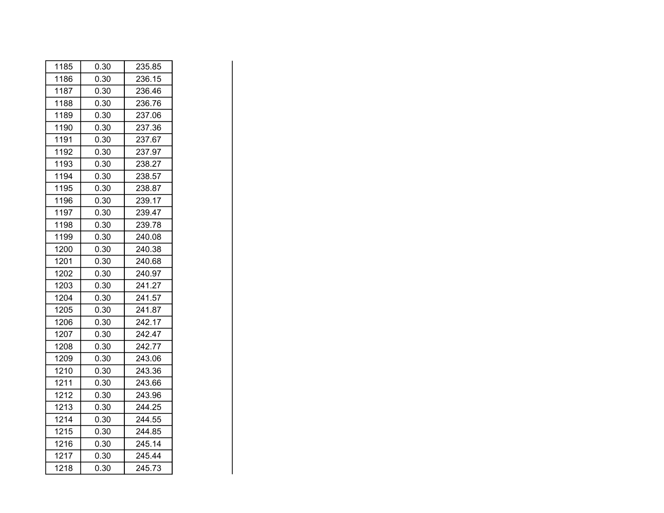| 1185 | 0.30 | 235.85 |
|------|------|--------|
| 1186 | 0.30 | 236.15 |
| 1187 | 0.30 | 236.46 |
| 1188 | 0.30 | 236.76 |
| 1189 | 0.30 | 237.06 |
| 1190 | 0.30 | 237.36 |
| 1191 | 0.30 | 237.67 |
| 1192 | 0.30 | 237.97 |
| 1193 | 0.30 | 238.27 |
| 1194 | 0.30 | 238.57 |
| 1195 | 0.30 | 238.87 |
| 1196 | 0.30 | 239.17 |
| 1197 | 0.30 | 239.47 |
| 1198 | 0.30 | 239.78 |
| 1199 | 0.30 | 240.08 |
| 1200 | 0.30 | 240.38 |
| 1201 | 0.30 | 240.68 |
| 1202 | 0.30 | 240.97 |
| 1203 | 0.30 | 241.27 |
| 1204 | 0.30 | 241.57 |
| 1205 | 0.30 | 241.87 |
| 1206 | 0.30 | 242.17 |
| 1207 | 0.30 | 242.47 |
| 1208 | 0.30 | 242.77 |
| 1209 | 0.30 | 243.06 |
| 1210 | 0.30 | 243.36 |
| 1211 | 0.30 | 243.66 |
| 1212 | 0.30 | 243.96 |
| 1213 | 0.30 | 244.25 |
| 1214 | 0.30 | 244.55 |
| 1215 | 0.30 | 244.85 |
| 1216 | 0.30 | 245.14 |
| 1217 | 0.30 | 245.44 |
| 1218 | 0.30 | 245.73 |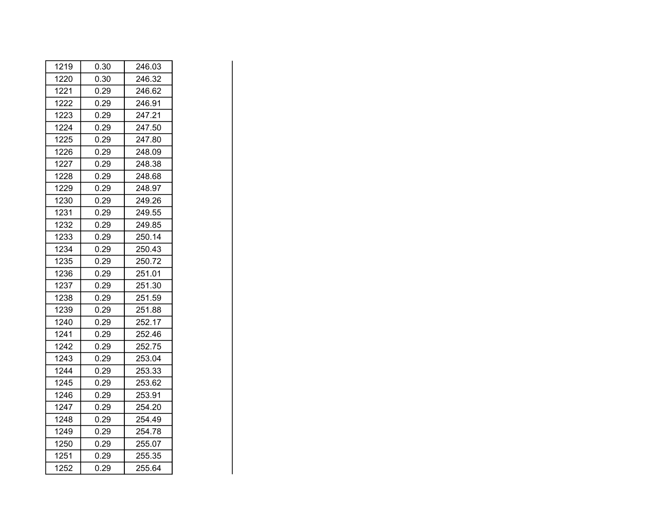| 1219 | 0.30 | 246.03 |
|------|------|--------|
| 1220 | 0.30 | 246.32 |
| 1221 | 0.29 | 246.62 |
| 1222 | 0.29 | 246.91 |
| 1223 | 0.29 | 247.21 |
| 1224 | 0.29 | 247.50 |
| 1225 | 0.29 | 247.80 |
| 1226 | 0.29 | 248.09 |
| 1227 | 0.29 | 248.38 |
| 1228 | 0.29 | 248.68 |
| 1229 | 0.29 | 248.97 |
| 1230 | 0.29 | 249.26 |
| 1231 | 0.29 | 249.55 |
| 1232 | 0.29 | 249.85 |
| 1233 | 0.29 | 250.14 |
| 1234 | 0.29 | 250.43 |
| 1235 | 0.29 | 250.72 |
| 1236 | 0.29 | 251.01 |
| 1237 | 0.29 | 251.30 |
| 1238 | 0.29 | 251.59 |
| 1239 | 0.29 | 251.88 |
| 1240 | 0.29 | 252.17 |
| 1241 | 0.29 | 252.46 |
| 1242 | 0.29 | 252.75 |
| 1243 | 0.29 | 253.04 |
| 1244 | 0.29 | 253.33 |
| 1245 | 0.29 | 253.62 |
| 1246 | 0.29 | 253.91 |
| 1247 | 0.29 | 254.20 |
| 1248 | 0.29 | 254.49 |
| 1249 | 0.29 | 254.78 |
| 1250 | 0.29 | 255.07 |
| 1251 | 0.29 | 255.35 |
| 1252 | 0.29 | 255.64 |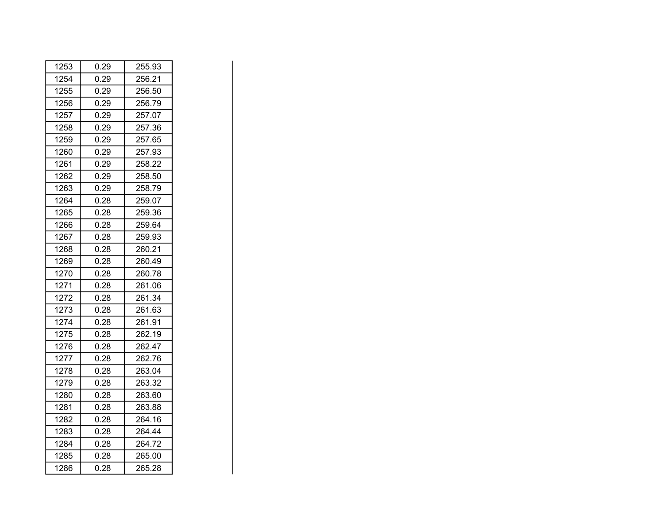| 1253 | 0.29 | 255.93 |
|------|------|--------|
| 1254 | 0.29 | 256.21 |
| 1255 | 0.29 | 256.50 |
| 1256 | 0.29 | 256.79 |
| 1257 | 0.29 | 257.07 |
| 1258 | 0.29 | 257.36 |
| 1259 | 0.29 | 257.65 |
| 1260 | 0.29 | 257.93 |
| 1261 | 0.29 | 258.22 |
| 1262 | 0.29 | 258.50 |
| 1263 | 0.29 | 258.79 |
| 1264 | 0.28 | 259.07 |
| 1265 | 0.28 | 259.36 |
| 1266 | 0.28 | 259.64 |
| 1267 | 0.28 | 259.93 |
| 1268 | 0.28 | 260.21 |
| 1269 | 0.28 | 260.49 |
| 1270 | 0.28 | 260.78 |
| 1271 | 0.28 | 261.06 |
| 1272 | 0.28 | 261.34 |
| 1273 | 0.28 | 261.63 |
| 1274 | 0.28 | 261.91 |
| 1275 | 0.28 | 262.19 |
| 1276 | 0.28 | 262.47 |
| 1277 | 0.28 | 262.76 |
| 1278 | 0.28 | 263.04 |
| 1279 | 0.28 | 263.32 |
| 1280 | 0.28 | 263.60 |
| 1281 | 0.28 | 263.88 |
| 1282 | 0.28 | 264.16 |
| 1283 | 0.28 | 264.44 |
| 1284 | 0.28 | 264.72 |
| 1285 | 0.28 | 265.00 |
| 1286 | 0.28 | 265.28 |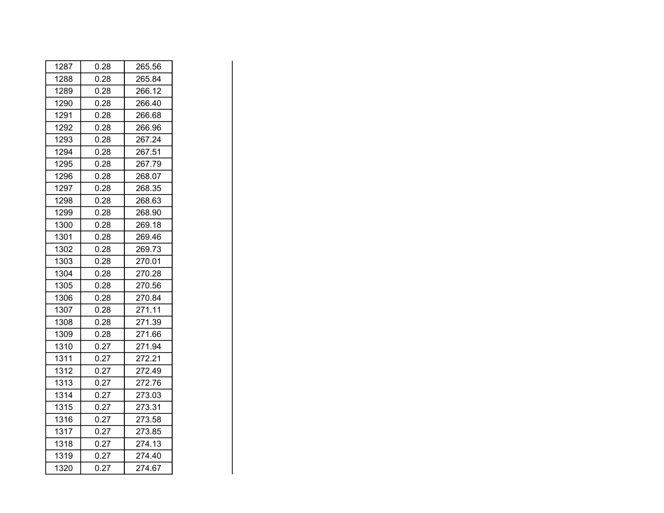| 1287 | 0.28 | 265.56 |
|------|------|--------|
| 1288 | 0.28 | 265.84 |
| 1289 | 0.28 | 266.12 |
| 1290 | 0.28 | 266.40 |
| 1291 | 0.28 | 266.68 |
| 1292 | 0.28 | 266.96 |
| 1293 | 0.28 | 267.24 |
| 1294 | 0.28 | 267.51 |
| 1295 | 0.28 | 267.79 |
| 1296 | 0.28 | 268.07 |
| 1297 | 0.28 | 268.35 |
| 1298 | 0.28 | 268.63 |
| 1299 | 0.28 | 268.90 |
| 1300 | 0.28 | 269.18 |
| 1301 | 0.28 | 269.46 |
| 1302 | 0.28 | 269.73 |
| 1303 | 0.28 | 270.01 |
| 1304 | 0.28 | 270.28 |
| 1305 | 0.28 | 270.56 |
| 1306 | 0.28 | 270.84 |
| 1307 | 0.28 | 271.11 |
| 1308 | 0.28 | 271.39 |
| 1309 | 0.28 | 271.66 |
| 1310 | 0.27 | 271.94 |
| 1311 | 0.27 | 272.21 |
| 1312 | 0.27 | 272.49 |
| 1313 | 0.27 | 272.76 |
| 1314 | 0.27 | 273.03 |
| 1315 | 0.27 | 273.31 |
| 1316 | 0.27 | 273.58 |
| 1317 | 0.27 | 273.85 |
| 1318 | 0.27 | 274.13 |
| 1319 | 0.27 | 274.40 |
| 1320 | 0.27 | 274.67 |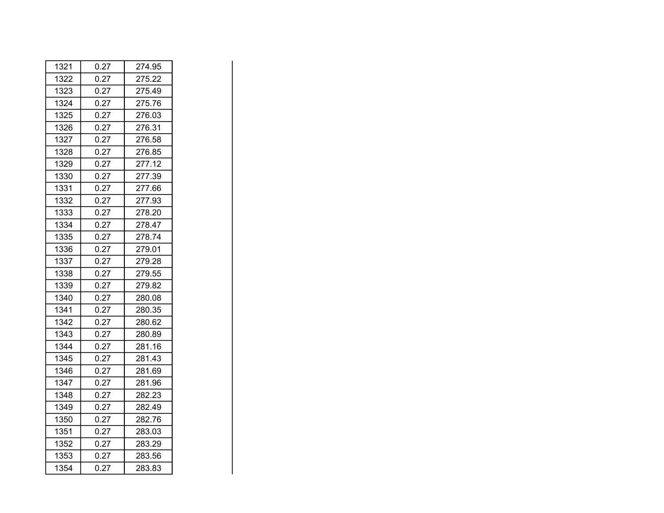| 1321 | 0.27 | 274.95 |
|------|------|--------|
| 1322 | 0.27 | 275.22 |
| 1323 | 0.27 | 275.49 |
| 1324 | 0.27 | 275.76 |
| 1325 | 0.27 | 276.03 |
| 1326 | 0.27 | 276.31 |
| 1327 | 0.27 | 276.58 |
| 1328 | 0.27 | 276.85 |
| 1329 | 0.27 | 277.12 |
| 1330 | 0.27 | 277.39 |
| 1331 | 0.27 | 277.66 |
| 1332 | 0.27 | 277.93 |
| 1333 | 0.27 | 278.20 |
| 1334 | 0.27 | 278.47 |
| 1335 | 0.27 | 278.74 |
| 1336 | 0.27 | 279.01 |
| 1337 | 0.27 | 279.28 |
| 1338 | 0.27 | 279.55 |
| 1339 | 0.27 | 279.82 |
| 1340 | 0.27 | 280.08 |
| 1341 | 0.27 | 280.35 |
| 1342 | 0.27 | 280.62 |
| 1343 | 0.27 | 280.89 |
| 1344 | 0.27 | 281.16 |
| 1345 | 0.27 | 281.43 |
| 1346 | 0.27 | 281.69 |
| 1347 | 0.27 | 281.96 |
| 1348 | 0.27 | 282.23 |
| 1349 | 0.27 | 282.49 |
| 1350 | 0.27 | 282.76 |
| 1351 | 0.27 | 283.03 |
| 1352 | 0.27 | 283.29 |
| 1353 | 0.27 | 283.56 |
| 1354 | 0.27 | 283.83 |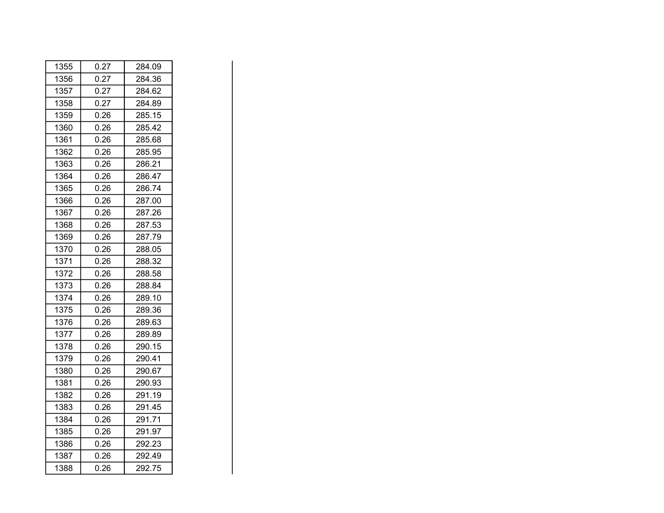| 1355 | 0.27 | 284.09 |
|------|------|--------|
| 1356 | 0.27 | 284.36 |
| 1357 | 0.27 | 284.62 |
| 1358 | 0.27 | 284.89 |
| 1359 | 0.26 | 285.15 |
| 1360 | 0.26 | 285.42 |
| 1361 | 0.26 | 285.68 |
| 1362 | 0.26 | 285.95 |
| 1363 | 0.26 | 286.21 |
| 1364 | 0.26 | 286.47 |
| 1365 | 0.26 | 286.74 |
| 1366 | 0.26 | 287.00 |
| 1367 | 0.26 | 287.26 |
| 1368 | 0.26 | 287.53 |
| 1369 | 0.26 | 287.79 |
| 1370 | 0.26 | 288.05 |
| 1371 | 0.26 | 288.32 |
| 1372 | 0.26 | 288.58 |
| 1373 | 0.26 | 288.84 |
| 1374 | 0.26 | 289.10 |
| 1375 | 0.26 | 289.36 |
| 1376 | 0.26 | 289.63 |
| 1377 | 0.26 | 289.89 |
| 1378 | 0.26 | 290.15 |
| 1379 | 0.26 | 290.41 |
| 1380 | 0.26 | 290.67 |
| 1381 | 0.26 | 290.93 |
| 1382 | 0.26 | 291.19 |
| 1383 | 0.26 | 291.45 |
| 1384 | 0.26 | 291.71 |
| 1385 | 0.26 | 291.97 |
| 1386 | 0.26 | 292.23 |
| 1387 | 0.26 | 292.49 |
| 1388 | 0.26 | 292.75 |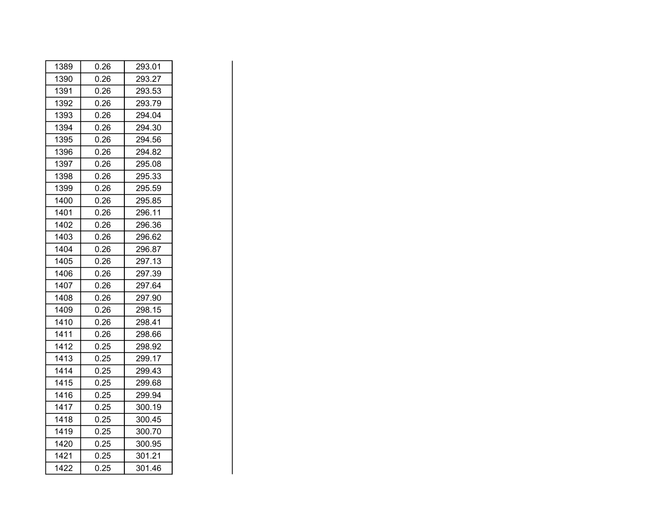| 1389 | 0.26 | 293.01 |
|------|------|--------|
| 1390 | 0.26 | 293.27 |
| 1391 | 0.26 | 293.53 |
| 1392 | 0.26 | 293.79 |
| 1393 | 0.26 | 294.04 |
| 1394 | 0.26 | 294.30 |
| 1395 | 0.26 | 294.56 |
| 1396 | 0.26 | 294.82 |
| 1397 | 0.26 | 295.08 |
| 1398 | 0.26 | 295.33 |
| 1399 | 0.26 | 295.59 |
| 1400 | 0.26 | 295.85 |
| 1401 | 0.26 | 296.11 |
| 1402 | 0.26 | 296.36 |
| 1403 | 0.26 | 296.62 |
| 1404 | 0.26 | 296.87 |
| 1405 | 0.26 | 297.13 |
| 1406 | 0.26 | 297.39 |
| 1407 | 0.26 | 297.64 |
| 1408 | 0.26 | 297.90 |
| 1409 | 0.26 | 298.15 |
| 1410 | 0.26 | 298.41 |
| 1411 | 0.26 | 298.66 |
| 1412 | 0.25 | 298.92 |
| 1413 | 0.25 | 299.17 |
| 1414 | 0.25 | 299.43 |
| 1415 | 0.25 | 299.68 |
| 1416 | 0.25 | 299.94 |
| 1417 | 0.25 | 300.19 |
| 1418 | 0.25 | 300.45 |
| 1419 | 0.25 | 300.70 |
| 1420 | 0.25 | 300.95 |
| 1421 | 0.25 | 301.21 |
| 1422 | 0.25 | 301.46 |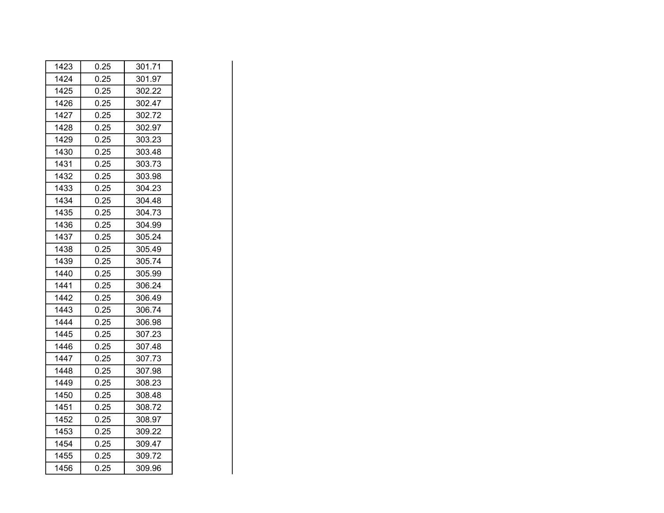| 1423 | 0.25 | 301.71 |
|------|------|--------|
| 1424 | 0.25 | 301.97 |
| 1425 | 0.25 | 302.22 |
| 1426 | 0.25 | 302.47 |
| 1427 | 0.25 | 302.72 |
| 1428 | 0.25 | 302.97 |
| 1429 | 0.25 | 303.23 |
| 1430 | 0.25 | 303.48 |
| 1431 | 0.25 | 303.73 |
| 1432 | 0.25 | 303.98 |
| 1433 | 0.25 | 304.23 |
| 1434 | 0.25 | 304.48 |
| 1435 | 0.25 | 304.73 |
| 1436 | 0.25 | 304.99 |
| 1437 | 0.25 | 305.24 |
| 1438 | 0.25 | 305.49 |
| 1439 | 0.25 | 305.74 |
| 1440 | 0.25 | 305.99 |
| 1441 | 0.25 | 306.24 |
| 1442 | 0.25 | 306.49 |
| 1443 | 0.25 | 306.74 |
| 1444 | 0.25 | 306.98 |
| 1445 | 0.25 | 307.23 |
| 1446 | 0.25 | 307.48 |
| 1447 | 0.25 | 307.73 |
| 1448 | 0.25 | 307.98 |
| 1449 | 0.25 | 308.23 |
| 1450 | 0.25 | 308.48 |
| 1451 | 0.25 | 308.72 |
| 1452 | 0.25 | 308.97 |
| 1453 | 0.25 | 309.22 |
| 1454 | 0.25 | 309.47 |
| 1455 | 0.25 | 309.72 |
| 1456 | 0.25 | 309.96 |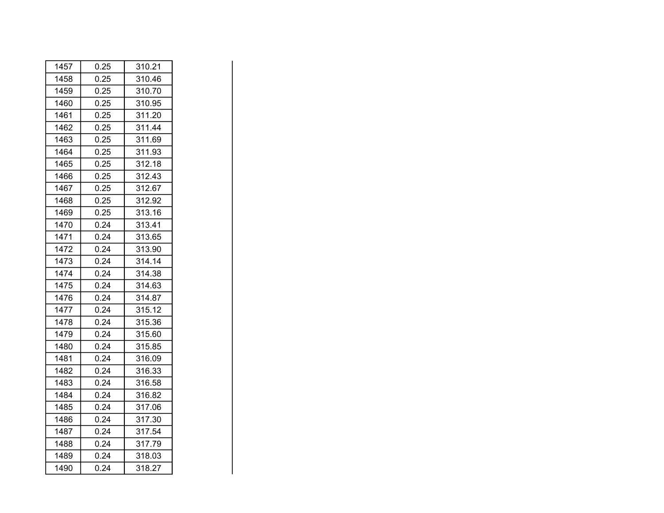| 1457 | 0.25 | 310.21 |
|------|------|--------|
| 1458 | 0.25 | 310.46 |
| 1459 | 0.25 | 310.70 |
| 1460 | 0.25 | 310.95 |
| 1461 | 0.25 | 311.20 |
| 1462 | 0.25 | 311.44 |
| 1463 | 0.25 | 311.69 |
| 1464 | 0.25 | 311.93 |
| 1465 | 0.25 | 312.18 |
| 1466 | 0.25 | 312.43 |
| 1467 | 0.25 | 312.67 |
| 1468 | 0.25 | 312.92 |
| 1469 | 0.25 | 313.16 |
| 1470 | 0.24 | 313.41 |
| 1471 | 0.24 | 313.65 |
| 1472 | 0.24 | 313.90 |
| 1473 | 0.24 | 314.14 |
| 1474 | 0.24 | 314.38 |
| 1475 | 0.24 | 314.63 |
| 1476 | 0.24 | 314.87 |
| 1477 | 0.24 | 315.12 |
| 1478 | 0.24 | 315.36 |
| 1479 | 0.24 | 315.60 |
| 1480 | 0.24 | 315.85 |
| 1481 | 0.24 | 316.09 |
| 1482 | 0.24 | 316.33 |
| 1483 | 0.24 | 316.58 |
| 1484 | 0.24 | 316.82 |
| 1485 | 0.24 | 317.06 |
| 1486 | 0.24 | 317.30 |
| 1487 | 0.24 | 317.54 |
| 1488 | 0.24 | 317.79 |
| 1489 | 0.24 | 318.03 |
| 1490 | 0.24 | 318.27 |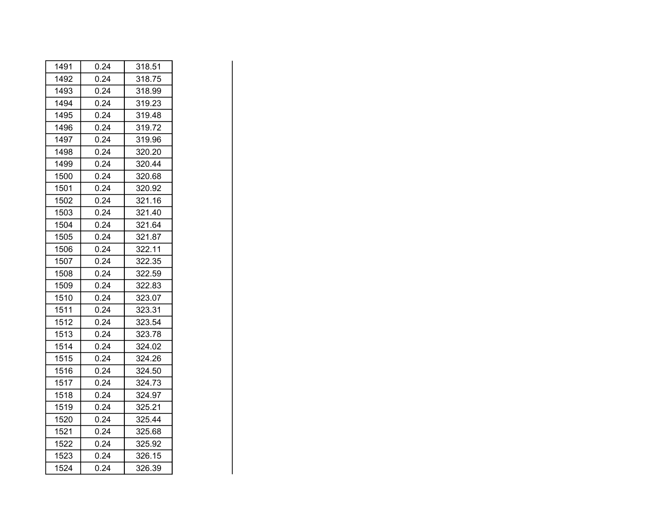| 1491 | 0.24 | 318.51 |
|------|------|--------|
| 1492 | 0.24 | 318.75 |
| 1493 | 0.24 | 318.99 |
| 1494 | 0.24 | 319.23 |
| 1495 | 0.24 | 319.48 |
| 1496 | 0.24 | 319.72 |
| 1497 | 0.24 | 319.96 |
| 1498 | 0.24 | 320.20 |
| 1499 | 0.24 | 320.44 |
| 1500 | 0.24 | 320.68 |
| 1501 | 0.24 | 320.92 |
| 1502 | 0.24 | 321.16 |
| 1503 | 0.24 | 321.40 |
| 1504 | 0.24 | 321.64 |
| 1505 | 0.24 | 321.87 |
| 1506 | 0.24 | 322.11 |
| 1507 | 0.24 | 322.35 |
| 1508 | 0.24 | 322.59 |
| 1509 | 0.24 | 322.83 |
| 1510 | 0.24 | 323.07 |
| 1511 | 0.24 | 323.31 |
| 1512 | 0.24 | 323.54 |
| 1513 | 0.24 | 323.78 |
| 1514 | 0.24 | 324.02 |
| 1515 | 0.24 | 324.26 |
| 1516 | 0.24 | 324.50 |
| 1517 | 0.24 | 324.73 |
| 1518 | 0.24 | 324.97 |
| 1519 | 0.24 | 325.21 |
| 1520 | 0.24 | 325.44 |
| 1521 | 0.24 | 325.68 |
| 1522 | 0.24 | 325.92 |
| 1523 | 0.24 | 326.15 |
| 1524 | 0.24 | 326.39 |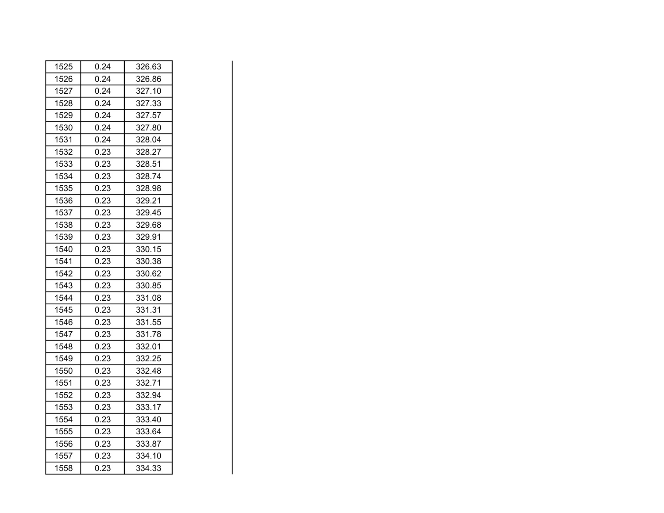| 1525 | 0.24 | 326.63 |
|------|------|--------|
| 1526 | 0.24 | 326.86 |
| 1527 | 0.24 | 327.10 |
| 1528 | 0.24 | 327.33 |
| 1529 | 0.24 | 327.57 |
| 1530 | 0.24 | 327.80 |
| 1531 | 0.24 | 328.04 |
| 1532 | 0.23 | 328.27 |
| 1533 | 0.23 | 328.51 |
| 1534 | 0.23 | 328.74 |
| 1535 | 0.23 | 328.98 |
| 1536 | 0.23 | 329.21 |
| 1537 | 0.23 | 329.45 |
| 1538 | 0.23 | 329.68 |
| 1539 | 0.23 | 329.91 |
| 1540 | 0.23 | 330.15 |
| 1541 | 0.23 | 330.38 |
| 1542 | 0.23 | 330.62 |
| 1543 | 0.23 | 330.85 |
| 1544 | 0.23 | 331.08 |
| 1545 | 0.23 | 331.31 |
| 1546 | 0.23 | 331.55 |
| 1547 | 0.23 | 331.78 |
| 1548 | 0.23 | 332.01 |
| 1549 | 0.23 | 332.25 |
| 1550 | 0.23 | 332.48 |
| 1551 | 0.23 | 332.71 |
| 1552 | 0.23 | 332.94 |
| 1553 | 0.23 | 333.17 |
| 1554 | 0.23 | 333.40 |
| 1555 | 0.23 | 333.64 |
| 1556 | 0.23 | 333.87 |
| 1557 | 0.23 | 334.10 |
| 1558 | 0.23 | 334.33 |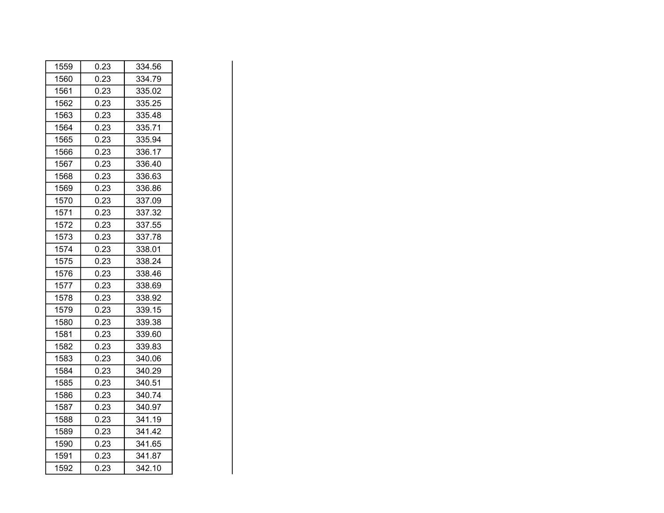| 1559 | 0.23 | 334.56 |
|------|------|--------|
| 1560 | 0.23 | 334.79 |
| 1561 | 0.23 | 335.02 |
| 1562 | 0.23 | 335.25 |
| 1563 | 0.23 | 335.48 |
| 1564 | 0.23 | 335.71 |
| 1565 | 0.23 | 335.94 |
| 1566 | 0.23 | 336.17 |
| 1567 | 0.23 | 336.40 |
| 1568 | 0.23 | 336.63 |
| 1569 | 0.23 | 336.86 |
| 1570 | 0.23 | 337.09 |
| 1571 | 0.23 | 337.32 |
| 1572 | 0.23 | 337.55 |
| 1573 | 0.23 | 337.78 |
| 1574 | 0.23 | 338.01 |
| 1575 | 0.23 | 338.24 |
| 1576 | 0.23 | 338.46 |
| 1577 | 0.23 | 338.69 |
| 1578 | 0.23 | 338.92 |
| 1579 | 0.23 | 339.15 |
| 1580 | 0.23 | 339.38 |
| 1581 | 0.23 | 339.60 |
| 1582 | 0.23 | 339.83 |
| 1583 | 0.23 | 340.06 |
| 1584 | 0.23 | 340.29 |
| 1585 | 0.23 | 340.51 |
| 1586 | 0.23 | 340.74 |
| 1587 | 0.23 | 340.97 |
| 1588 | 0.23 | 341.19 |
| 1589 | 0.23 | 341.42 |
| 1590 | 0.23 | 341.65 |
| 1591 | 0.23 | 341.87 |
| 1592 | 0.23 | 342.10 |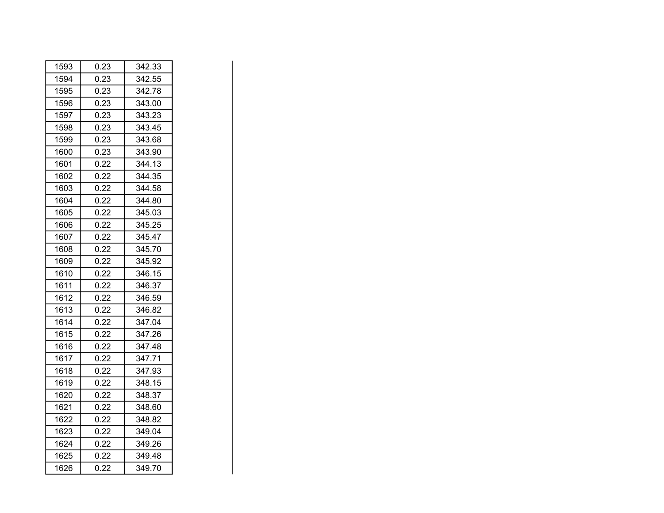| 1593 | 0.23 | 342.33 |
|------|------|--------|
| 1594 | 0.23 | 342.55 |
| 1595 | 0.23 | 342.78 |
| 1596 | 0.23 | 343.00 |
| 1597 | 0.23 | 343.23 |
| 1598 | 0.23 | 343.45 |
| 1599 | 0.23 | 343.68 |
| 1600 | 0.23 | 343.90 |
| 1601 | 0.22 | 344.13 |
| 1602 | 0.22 | 344.35 |
| 1603 | 0.22 | 344.58 |
| 1604 | 0.22 | 344.80 |
| 1605 | 0.22 | 345.03 |
| 1606 | 0.22 | 345.25 |
| 1607 | 0.22 | 345.47 |
| 1608 | 0.22 | 345.70 |
| 1609 | 0.22 | 345.92 |
| 1610 | 0.22 | 346.15 |
| 1611 | 0.22 | 346.37 |
| 1612 | 0.22 | 346.59 |
| 1613 | 0.22 | 346.82 |
| 1614 | 0.22 | 347.04 |
| 1615 | 0.22 | 347.26 |
| 1616 | 0.22 | 347.48 |
| 1617 | 0.22 | 347.71 |
| 1618 | 0.22 | 347.93 |
| 1619 | 0.22 | 348.15 |
| 1620 | 0.22 | 348.37 |
| 1621 | 0.22 | 348.60 |
| 1622 | 0.22 | 348.82 |
| 1623 | 0.22 | 349.04 |
| 1624 | 0.22 | 349.26 |
| 1625 | 0.22 | 349.48 |
| 1626 | 0.22 | 349.70 |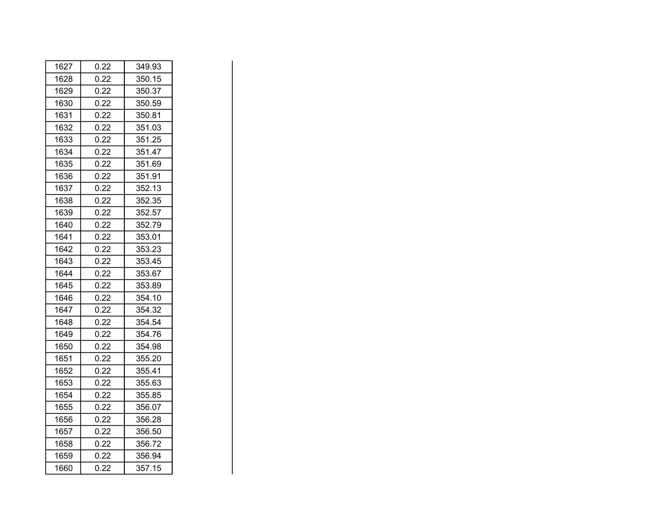| 1627 | 0.22 | 349.93 |
|------|------|--------|
| 1628 | 0.22 | 350.15 |
| 1629 | 0.22 | 350.37 |
| 1630 | 0.22 | 350.59 |
| 1631 | 0.22 | 350.81 |
| 1632 | 0.22 | 351.03 |
| 1633 | 0.22 | 351.25 |
| 1634 | 0.22 | 351.47 |
| 1635 | 0.22 | 351.69 |
| 1636 | 0.22 | 351.91 |
| 1637 | 0.22 | 352.13 |
| 1638 | 0.22 | 352.35 |
| 1639 | 0.22 | 352.57 |
| 1640 | 0.22 | 352.79 |
| 1641 | 0.22 | 353.01 |
| 1642 | 0.22 | 353.23 |
| 1643 | 0.22 | 353.45 |
| 1644 | 0.22 | 353.67 |
| 1645 | 0.22 | 353.89 |
| 1646 | 0.22 | 354.10 |
| 1647 | 0.22 | 354.32 |
| 1648 | 0.22 | 354.54 |
| 1649 | 0.22 | 354.76 |
| 1650 | 0.22 | 354.98 |
| 1651 | 0.22 | 355.20 |
| 1652 | 0.22 | 355.41 |
| 1653 | 0.22 | 355.63 |
| 1654 | 0.22 | 355.85 |
| 1655 | 0.22 | 356.07 |
| 1656 | 0.22 | 356.28 |
| 1657 | 0.22 | 356.50 |
| 1658 | 0.22 | 356.72 |
| 1659 | 0.22 | 356.94 |
| 1660 | 0.22 | 357.15 |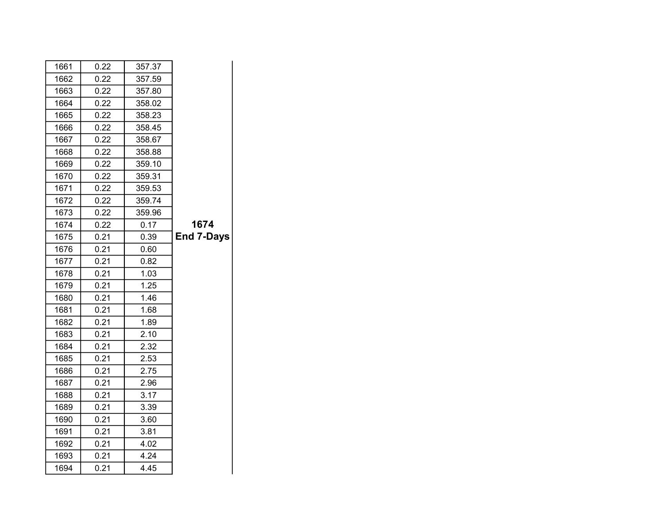| 1661 | 0.22 | 357.37 |                   |
|------|------|--------|-------------------|
| 1662 | 0.22 | 357.59 |                   |
| 1663 | 0.22 | 357.80 |                   |
| 1664 | 0.22 | 358.02 |                   |
| 1665 | 0.22 | 358.23 |                   |
| 1666 | 0.22 | 358.45 |                   |
| 1667 | 0.22 | 358.67 |                   |
| 1668 | 0.22 | 358.88 |                   |
| 1669 | 0.22 | 359.10 |                   |
| 1670 | 0.22 | 359.31 |                   |
| 1671 | 0.22 | 359.53 |                   |
| 1672 | 0.22 | 359.74 |                   |
| 1673 | 0.22 | 359.96 |                   |
| 1674 | 0.22 | 0.17   | 1674              |
| 1675 | 0.21 | 0.39   | <b>End 7-Days</b> |
| 1676 | 0.21 | 0.60   |                   |
| 1677 | 0.21 | 0.82   |                   |
| 1678 | 0.21 | 1.03   |                   |
| 1679 | 0.21 | 1.25   |                   |
| 1680 | 0.21 | 1.46   |                   |
| 1681 | 0.21 | 1.68   |                   |
| 1682 | 0.21 | 1.89   |                   |
| 1683 | 0.21 | 2.10   |                   |
| 1684 | 0.21 | 2.32   |                   |
| 1685 | 0.21 | 2.53   |                   |
| 1686 | 0.21 | 2.75   |                   |
| 1687 | 0.21 | 2.96   |                   |
| 1688 | 0.21 | 3.17   |                   |
| 1689 | 0.21 | 3.39   |                   |
| 1690 | 0.21 | 3.60   |                   |
| 1691 | 0.21 | 3.81   |                   |
| 1692 | 0.21 | 4.02   |                   |
| 1693 | 0.21 | 4.24   |                   |
| 1694 | 0.21 | 4.45   |                   |